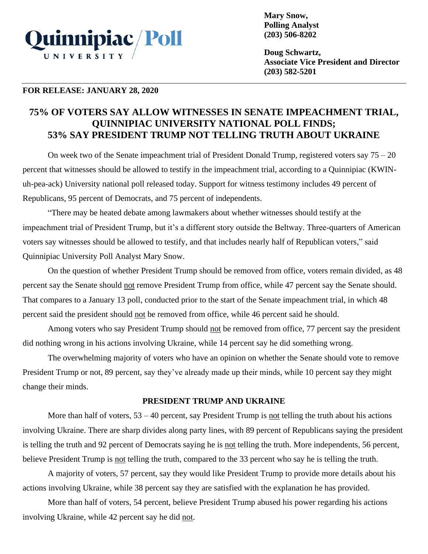

**Mary Snow, Polling Analyst (203) 506-8202**

**Doug Schwartz, Associate Vice President and Director (203) 582-5201**

### **FOR RELEASE: JANUARY 28, 2020**

# **75% OF VOTERS SAY ALLOW WITNESSES IN SENATE IMPEACHMENT TRIAL, QUINNIPIAC UNIVERSITY NATIONAL POLL FINDS; 53% SAY PRESIDENT TRUMP NOT TELLING TRUTH ABOUT UKRAINE**

On week two of the Senate impeachment trial of President Donald Trump, registered voters say 75 – 20 percent that witnesses should be allowed to testify in the impeachment trial, according to a Quinnipiac (KWINuh-pea-ack) University national poll released today. Support for witness testimony includes 49 percent of Republicans, 95 percent of Democrats, and 75 percent of independents.

"There may be heated debate among lawmakers about whether witnesses should testify at the impeachment trial of President Trump, but it's a different story outside the Beltway. Three-quarters of American voters say witnesses should be allowed to testify, and that includes nearly half of Republican voters," said Quinnipiac University Poll Analyst Mary Snow.

On the question of whether President Trump should be removed from office, voters remain divided, as 48 percent say the Senate should not remove President Trump from office, while 47 percent say the Senate should. That compares to a January 13 poll, conducted prior to the start of the Senate impeachment trial, in which 48 percent said the president should not be removed from office, while 46 percent said he should.

Among voters who say President Trump should not be removed from office, 77 percent say the president did nothing wrong in his actions involving Ukraine, while 14 percent say he did something wrong.

The overwhelming majority of voters who have an opinion on whether the Senate should vote to remove President Trump or not, 89 percent, say they've already made up their minds, while 10 percent say they might change their minds.

## **PRESIDENT TRUMP AND UKRAINE**

More than half of voters,  $53 - 40$  percent, say President Trump is not telling the truth about his actions involving Ukraine. There are sharp divides along party lines, with 89 percent of Republicans saying the president is telling the truth and 92 percent of Democrats saying he is not telling the truth. More independents, 56 percent, believe President Trump is not telling the truth, compared to the 33 percent who say he is telling the truth.

A majority of voters, 57 percent, say they would like President Trump to provide more details about his actions involving Ukraine, while 38 percent say they are satisfied with the explanation he has provided.

More than half of voters, 54 percent, believe President Trump abused his power regarding his actions involving Ukraine, while 42 percent say he did not.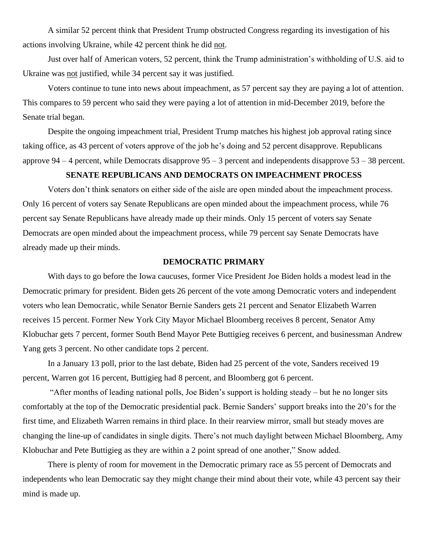A similar 52 percent think that President Trump obstructed Congress regarding its investigation of his actions involving Ukraine, while 42 percent think he did not.

Just over half of American voters, 52 percent, think the Trump administration's withholding of U.S. aid to Ukraine was not justified, while 34 percent say it was justified.

Voters continue to tune into news about impeachment, as 57 percent say they are paying a lot of attention. This compares to 59 percent who said they were paying a lot of attention in mid-December 2019, before the Senate trial began.

Despite the ongoing impeachment trial, President Trump matches his highest job approval rating since taking office, as 43 percent of voters approve of the job he's doing and 52 percent disapprove. Republicans approve  $94 - 4$  percent, while Democrats disapprove  $95 - 3$  percent and independents disapprove  $53 - 38$  percent.

# **SENATE REPUBLICANS AND DEMOCRATS ON IMPEACHMENT PROCESS**

Voters don't think senators on either side of the aisle are open minded about the impeachment process. Only 16 percent of voters say Senate Republicans are open minded about the impeachment process, while 76 percent say Senate Republicans have already made up their minds. Only 15 percent of voters say Senate Democrats are open minded about the impeachment process, while 79 percent say Senate Democrats have already made up their minds.

## **DEMOCRATIC PRIMARY**

With days to go before the Iowa caucuses, former Vice President Joe Biden holds a modest lead in the Democratic primary for president. Biden gets 26 percent of the vote among Democratic voters and independent voters who lean Democratic, while Senator Bernie Sanders gets 21 percent and Senator Elizabeth Warren receives 15 percent. Former New York City Mayor Michael Bloomberg receives 8 percent, Senator Amy Klobuchar gets 7 percent, former South Bend Mayor Pete Buttigieg receives 6 percent, and businessman Andrew Yang gets 3 percent. No other candidate tops 2 percent.

In a January 13 poll, prior to the last debate, Biden had 25 percent of the vote, Sanders received 19 percent, Warren got 16 percent, Buttigieg had 8 percent, and Bloomberg got 6 percent.

"After months of leading national polls, Joe Biden's support is holding steady – but he no longer sits comfortably at the top of the Democratic presidential pack. Bernie Sanders' support breaks into the 20's for the first time, and Elizabeth Warren remains in third place. In their rearview mirror, small but steady moves are changing the line-up of candidates in single digits. There's not much daylight between Michael Bloomberg, Amy Klobuchar and Pete Buttigieg as they are within a 2 point spread of one another," Snow added.

There is plenty of room for movement in the Democratic primary race as 55 percent of Democrats and independents who lean Democratic say they might change their mind about their vote, while 43 percent say their mind is made up.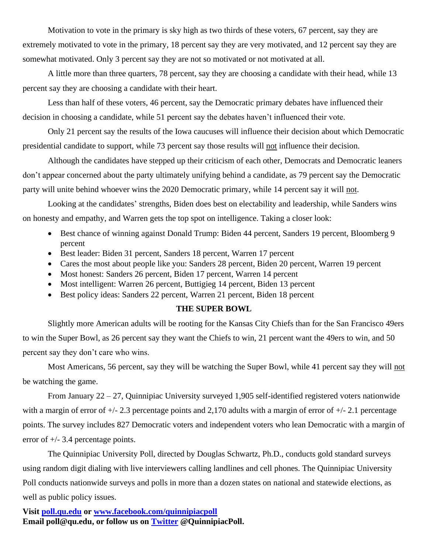Motivation to vote in the primary is sky high as two thirds of these voters, 67 percent, say they are extremely motivated to vote in the primary, 18 percent say they are very motivated, and 12 percent say they are somewhat motivated. Only 3 percent say they are not so motivated or not motivated at all.

A little more than three quarters, 78 percent, say they are choosing a candidate with their head, while 13 percent say they are choosing a candidate with their heart.

Less than half of these voters, 46 percent, say the Democratic primary debates have influenced their decision in choosing a candidate, while 51 percent say the debates haven't influenced their vote.

Only 21 percent say the results of the Iowa caucuses will influence their decision about which Democratic presidential candidate to support, while 73 percent say those results will not influence their decision.

Although the candidates have stepped up their criticism of each other, Democrats and Democratic leaners don't appear concerned about the party ultimately unifying behind a candidate, as 79 percent say the Democratic party will unite behind whoever wins the 2020 Democratic primary, while 14 percent say it will not.

Looking at the candidates' strengths, Biden does best on electability and leadership, while Sanders wins on honesty and empathy, and Warren gets the top spot on intelligence. Taking a closer look:

- Best chance of winning against Donald Trump: Biden 44 percent, Sanders 19 percent, Bloomberg 9 percent
- Best leader: Biden 31 percent, Sanders 18 percent, Warren 17 percent
- Cares the most about people like you: Sanders 28 percent, Biden 20 percent, Warren 19 percent
- Most honest: Sanders 26 percent, Biden 17 percent, Warren 14 percent
- Most intelligent: Warren 26 percent, Buttigieg 14 percent, Biden 13 percent
- Best policy ideas: Sanders 22 percent, Warren 21 percent, Biden 18 percent

### **THE SUPER BOWL**

Slightly more American adults will be rooting for the Kansas City Chiefs than for the San Francisco 49ers to win the Super Bowl, as 26 percent say they want the Chiefs to win, 21 percent want the 49ers to win, and 50 percent say they don't care who wins.

Most Americans, 56 percent, say they will be watching the Super Bowl, while 41 percent say they will not be watching the game.

From January 22 – 27, Quinnipiac University surveyed 1,905 self-identified registered voters nationwide with a margin of error of  $+/- 2.3$  percentage points and 2,170 adults with a margin of error of  $+/- 2.1$  percentage points. The survey includes 827 Democratic voters and independent voters who lean Democratic with a margin of error of  $+/- 3.4$  percentage points.

The Quinnipiac University Poll, directed by Douglas Schwartz, Ph.D., conducts gold standard surveys using random digit dialing with live interviewers calling landlines and cell phones. The Quinnipiac University Poll conducts nationwide surveys and polls in more than a dozen states on national and statewide elections, as well as public policy issues.

**Visit [poll.qu.edu](https://poll.qu.edu/) or [www.facebook.com/quinnipiacpoll](http://www.facebook.com/quinnipiacpoll)  Email poll@qu.edu, or follow us on [Twitter](http://twitter.com/QuinnipiacPoll) @QuinnipiacPoll.**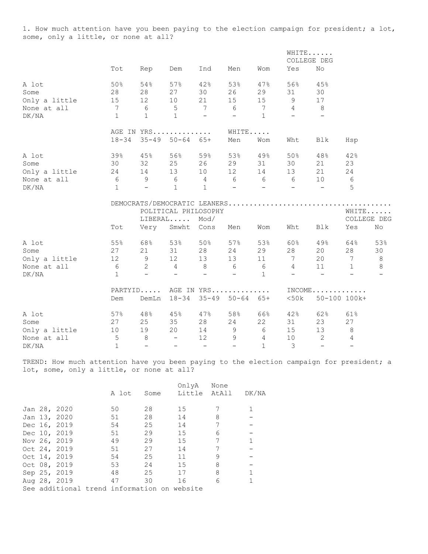1. How much attention have you been paying to the election campaign for president; a lot, some, only a little, or none at all?

|               |                |                                                           |                            |                          |                     |                          |                                | WHITE<br>COLLEGE DEG          |                |                          |
|---------------|----------------|-----------------------------------------------------------|----------------------------|--------------------------|---------------------|--------------------------|--------------------------------|-------------------------------|----------------|--------------------------|
|               | Tot            | Rep                                                       | Dem                        | Ind                      | Men                 | Wom                      | Yes                            | No                            |                |                          |
| A lot         | 50%            | 54%                                                       | 57%                        | 42%                      | 53%                 | 47%                      | 56%                            | 45%                           |                |                          |
| Some          | 28             | 28                                                        | 27                         | 30                       | 26                  | 29                       | 31                             | 30                            |                |                          |
| Only a little | 15             | 12                                                        | 10                         | 21                       | 15                  | 15                       | 9                              | 17                            |                |                          |
| None at all   | $\overline{7}$ | 65                                                        |                            | $\overline{7}$           | 6                   | $\overline{7}$           | $\overline{4}$                 | 8                             |                |                          |
| DK/NA         | $\mathbf{1}$   | $\mathbf{1}$                                              | $\overline{1}$             | $\equiv$                 | $\overline{a}$      | $\mathbf{1}$             | $\sim$ $-$                     | $\!-$                         |                |                          |
|               |                | AGE IN YRS                                                |                            |                          | WHITE               |                          |                                |                               |                |                          |
|               | $18 - 34$      |                                                           | $35 - 49$ $50 - 64$ $65 +$ |                          | Men                 | Wom                      | Wht                            | Blk                           | Hsp            |                          |
| A lot         | 39%            | 45%                                                       | 56%                        | 59%                      | 53%                 | 49%                      | 50%                            | 48%                           | 42%            |                          |
| Some          | 30             | 32                                                        | 25                         | 26                       | 29                  | 31                       | 30                             | 21                            | 23             |                          |
| Only a little | 24             | 14                                                        | 13                         | 10                       | 12                  | 14                       | 13                             | 21                            | 24             |                          |
| None at all   |                | $6 \qquad 9 \qquad 6 \qquad 4 \qquad 6 \qquad 6 \qquad 6$ |                            |                          |                     |                          |                                | 10                            | 6              |                          |
| DK/NA         | $\mathbf{1}$   | $-$                                                       | $\mathbf{1}$               | $\mathbf{1}$             | $\sim$ $-$          | <b>Contract Contract</b> | <b>Contract Contract State</b> | $\sim$                        | 5              |                          |
|               |                |                                                           |                            |                          |                     |                          |                                |                               |                |                          |
|               |                |                                                           | POLITICAL PHILOSOPHY       |                          |                     |                          |                                |                               |                | WHITE                    |
|               |                |                                                           | $LIBERAL$                  | Mod/                     |                     |                          |                                |                               |                | COLLEGE DEG              |
|               | Tot            | Very                                                      | Smwht                      | Cons                     | Men                 | Wom                      | Wht                            | Blk                           | Yes            | No                       |
| A lot         | 55%            | 68%                                                       | 53%                        | 50%                      | 57%                 | 53%                      | 60%                            | $49\%$                        | 64%            | 53%                      |
| Some          | 27             | 21                                                        | 31                         | 28                       | 24                  | 29                       | 28                             | 20                            | 28             | 30                       |
| Only a little |                | 12 9                                                      | 12 <sup>°</sup>            | 13                       | 13                  | 11                       | $7\overline{ }$                | 20                            | 7              | 8                        |
| None at all   |                | $\begin{matrix}6 & 2 \end{matrix}$                        | $4\overline{4}$            | 8 <sup>8</sup>           | 6                   | 6                        | $4\overline{ }$                | 11                            | $\mathbf{1}$   | 8                        |
| DK/NA         | $\mathbf{1}$   | $-$                                                       | $\overline{\phantom{0}}$   | $\overline{\phantom{a}}$ | $ \,$               | $\mathbf{1}$             | $\equiv$                       | $\overline{\phantom{0}}$      | $-$            | $\overline{\phantom{a}}$ |
|               |                | PARTYID AGE IN YRS                                        |                            |                          |                     |                          |                                | $INCOME \ldots \ldots \ldots$ |                |                          |
|               | Dem            | DemLn                                                     | $18 - 34$                  |                          | $35 - 49$ $50 - 64$ | 65+                      | $<$ 50 $k$                     |                               | 50-100 100k+   |                          |
| A lot         | 57%            | 48%                                                       | 45%                        | 47%                      | 58%                 | 66%                      | 42%                            | 62%                           | 61%            |                          |
| Some          | 27             | 25                                                        | 35                         | 28                       | 24                  | 22                       | 31                             | 23                            | 27             |                          |
| Only a little | 10             | 19                                                        | 20                         | 14                       | 9                   | 6                        | 15                             | 13                            | 8              |                          |
| None at all   | $\mathsf S$    | 8                                                         | $\overline{\phantom{0}}$   | 12 <sup>°</sup>          | 9                   | $\overline{4}$           | 10                             | $\overline{2}$                | $\overline{4}$ |                          |
| DK/NA         | $\mathbf{1}$   | $\equiv$                                                  | $\overline{\phantom{0}}$   | $-$                      | $\equiv$            | $\mathbf{1}$             | 3                              | $\overline{\phantom{0}}$      | $\equiv$       |                          |

TREND: How much attention have you been paying to the election campaign for president; a lot, some, only a little, or none at all?

|  |              |                                             |      | OnlyA  | None  |       |
|--|--------------|---------------------------------------------|------|--------|-------|-------|
|  |              | A lot                                       | Some | Little | AtAll | DK/NA |
|  |              |                                             |      |        |       |       |
|  | Jan 28, 2020 | 50                                          | 28   | 15     |       |       |
|  | Jan 13, 2020 | 51                                          | 28   | 14     | 8     |       |
|  | Dec 16, 2019 | 54                                          | 25   | 14     |       |       |
|  | Dec 10, 2019 | 51                                          | 29   | 15     | 6     |       |
|  | Nov 26, 2019 | 49                                          | 29   | 15     | 7     |       |
|  | Oct 24, 2019 | 51                                          | 27   | 14     |       |       |
|  | Oct 14, 2019 | 54                                          | 25   | 11     | 9     |       |
|  | Oct 08, 2019 | 53                                          | 24   | 15     | 8     |       |
|  | Sep 25, 2019 | 48                                          | 25   | 17     | 8     |       |
|  | Aug 28, 2019 | 47                                          | 30   | 16     | 6     |       |
|  |              | See additional trend information on website |      |        |       |       |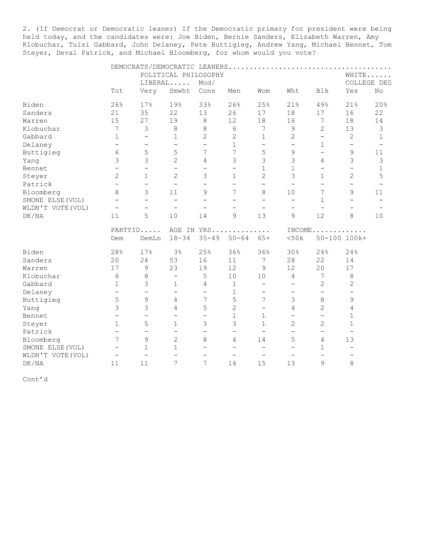2. (If Democrat or Democratic leaner) If the Democratic primary for president were being held today, and the candidates were: Joe Biden, Bernie Sanders, Elizabeth Warren, Amy Klobuchar, Tulsi Gabbard, John Delaney, Pete Buttigieg, Andrew Yang, Michael Bennet, Tom Steyer, Deval Patrick, and Michael Bloomberg, for whom would you vote?

|                   |                                                                                                                                                                                                                                                                                                                                   |                          |                          | POLITICAL PHILOSOPHY     |                          |                          |                          |                          |                          | WHITE                    |
|-------------------|-----------------------------------------------------------------------------------------------------------------------------------------------------------------------------------------------------------------------------------------------------------------------------------------------------------------------------------|--------------------------|--------------------------|--------------------------|--------------------------|--------------------------|--------------------------|--------------------------|--------------------------|--------------------------|
|                   | Tot<br>26%<br>21<br>15<br>7<br>$\mathbf{1}$<br>$\qquad \qquad -$<br>6<br>3<br>$\overline{\phantom{0}}$<br>$\overline{2}$<br>$\overline{\phantom{0}}$<br>8<br>$\overline{\phantom{0}}$<br>$\overline{\phantom{m}}$<br>11<br>Dem<br>28%<br>20<br>17<br>6<br>$\mathbf{1}$<br>$\qquad \qquad -$<br>5<br>3<br>$\overline{\phantom{0}}$ |                          | LIBERAL                  | Mod/                     |                          |                          |                          |                          |                          | COLLEGE DEG              |
|                   |                                                                                                                                                                                                                                                                                                                                   | Very                     | Smwht                    | Cons                     | Men                      | Wom                      | Wht                      | <b>Blk</b>               | Yes                      | No                       |
| Biden             |                                                                                                                                                                                                                                                                                                                                   | 17%                      | 19%                      | 33%                      | 26%                      | 25%                      | 21%                      | 49%                      | 21%                      | 20%                      |
| Sanders           |                                                                                                                                                                                                                                                                                                                                   | 35                       | 22                       | 13                       | 26                       | 17                       | 18                       | 17                       | 16                       | 22                       |
| Warren            |                                                                                                                                                                                                                                                                                                                                   | 27                       | 19                       | $\,8\,$                  | 12                       | 18                       | 16                       | 7                        | 18                       | 14                       |
| Klobuchar         |                                                                                                                                                                                                                                                                                                                                   | 3                        | 8                        | 8                        | 6                        | 7                        | 9                        | $\mathbf{2}$             | 13                       | 3                        |
| Gabbard           |                                                                                                                                                                                                                                                                                                                                   | $\overline{\phantom{0}}$ | $\mathbf{1}$             | $\overline{c}$           | $\overline{c}$           | $\mathbf 1$              | 2                        | $\overline{\phantom{0}}$ | $\mathbf{2}$             | $\mathbf 1$              |
| Delaney           |                                                                                                                                                                                                                                                                                                                                   | $\qquad \qquad -$        | $\overline{\phantom{0}}$ | $\overline{\phantom{m}}$ | $\mathbf 1$              | $\qquad \qquad -$        | $\overline{\phantom{0}}$ | $1\,$                    | $\overline{\phantom{a}}$ |                          |
| Buttigieg         |                                                                                                                                                                                                                                                                                                                                   | 5                        | 5                        | $\overline{7}$           | 7                        | 5                        | 9                        | $\overline{\phantom{0}}$ | $\mathsf 9$              | 11                       |
| Yang              |                                                                                                                                                                                                                                                                                                                                   | 3                        | $\overline{2}$           | 4                        | 3                        | 3                        | 3                        | 4                        | 3                        | 3                        |
| Bennet            |                                                                                                                                                                                                                                                                                                                                   | $\overline{\phantom{0}}$ | $\overline{\phantom{0}}$ | $\overline{\phantom{0}}$ | $\overline{\phantom{0}}$ | $\mathbf 1$              | $\mathbf{1}$             | $\qquad \qquad -$        | $\overline{\phantom{m}}$ | 1                        |
| Steyer            |                                                                                                                                                                                                                                                                                                                                   | $\mathbf{1}$             | $\overline{2}$           | 3                        | $\mathbf 1$              | $\overline{2}$           | 3                        | $\mathbf{1}$             | $\overline{2}$           | 5                        |
| Patrick           |                                                                                                                                                                                                                                                                                                                                   | $\overline{\phantom{m}}$ | $\overline{\phantom{m}}$ | $\overline{\phantom{0}}$ | $\qquad \qquad -$        | $\qquad \qquad -$        | $\overline{\phantom{m}}$ | $\overline{\phantom{0}}$ | $\overline{\phantom{0}}$ | $\overline{\phantom{a}}$ |
| Bloomberg         |                                                                                                                                                                                                                                                                                                                                   | 3                        | 11                       | 9                        | 7                        | 8                        | 10                       | 7                        | 9                        | 11                       |
| SMONE ELSE (VOL)  |                                                                                                                                                                                                                                                                                                                                   | $\overline{\phantom{0}}$ | $\overline{\phantom{0}}$ | $\overline{\phantom{0}}$ | $\overline{\phantom{0}}$ | $\overline{\phantom{0}}$ | $\qquad \qquad -$        | $\mathbf{1}$             | $\overline{\phantom{0}}$ | $\overline{\phantom{a}}$ |
| WLDN'T VOTE (VOL) |                                                                                                                                                                                                                                                                                                                                   | $\overline{\phantom{m}}$ | $\overline{\phantom{a}}$ | $\overline{\phantom{0}}$ | $\qquad \qquad -$        | $\qquad \qquad -$        | $\qquad \qquad -$        | $\overline{\phantom{0}}$ |                          |                          |
| DK/NA             |                                                                                                                                                                                                                                                                                                                                   | 5                        | 10                       | 14                       | 9                        | 13                       | 9                        | 12                       | 8                        | 10                       |
|                   |                                                                                                                                                                                                                                                                                                                                   | PARTYID                  |                          | AGE IN YRS               |                          | .                        |                          |                          | $INCOME$                 |                          |
|                   |                                                                                                                                                                                                                                                                                                                                   | DemLn                    | $18 - 34$                | $35 - 49$                | $50 - 64$                | $65+$                    | <50k                     |                          | 50-100 100k+             |                          |
| Biden             |                                                                                                                                                                                                                                                                                                                                   | 17%                      | 3 <sup>°</sup>           | 25%                      | 36%                      | 36%                      | 30%                      | 24%                      | 24%                      |                          |
| Sanders           |                                                                                                                                                                                                                                                                                                                                   | 24                       | 53                       | 16                       | 11                       | 7                        | 28                       | 22                       | 14                       |                          |
| Warren            |                                                                                                                                                                                                                                                                                                                                   | 9                        | 23                       | 19                       | 12                       | 9                        | 12                       | 20                       | 17                       |                          |
| Klobuchar         |                                                                                                                                                                                                                                                                                                                                   | 8                        | $\overline{\phantom{0}}$ | 5                        | 10                       | 10                       | 4                        | 7                        | $\,8\,$                  |                          |
| Gabbard           |                                                                                                                                                                                                                                                                                                                                   | 3                        | $\mathbf 1$              | $\overline{4}$           | 1                        | $\overline{\phantom{0}}$ | $\overline{\phantom{m}}$ | $\mathbf{2}$             | $\mathbf{2}$             |                          |
| Delaney           |                                                                                                                                                                                                                                                                                                                                   | $\overline{\phantom{0}}$ | $\overline{\phantom{0}}$ | $\overline{\phantom{0}}$ | $\mathbf 1$              | $\overline{\phantom{0}}$ | $\overline{\phantom{m}}$ | $\overline{\phantom{0}}$ | $\overline{\phantom{0}}$ |                          |
| Buttigieg         |                                                                                                                                                                                                                                                                                                                                   | 9                        | 4                        | 7                        | 5                        | 7                        | 3                        | 8                        | 9                        |                          |
| Yang              |                                                                                                                                                                                                                                                                                                                                   | 3                        | 4                        | 5                        | $\overline{c}$           | $\overline{\phantom{0}}$ | 4                        | $\overline{c}$           | $\overline{4}$           |                          |
| Bennet            |                                                                                                                                                                                                                                                                                                                                   | $\overline{\phantom{0}}$ | $\overline{\phantom{0}}$ | $\overline{\phantom{0}}$ | $\mathbf 1$              | $\mathbf 1$              | $\overline{\phantom{0}}$ | $\overline{\phantom{0}}$ | 1                        |                          |
| Steyer            | $\mathbf{1}$                                                                                                                                                                                                                                                                                                                      | 5                        | $\mathbf 1$              | 3                        | 3                        | $\mathbf 1$              | $\overline{2}$           | $\mathbf{2}$             | $\mathbf 1$              |                          |
| Patrick           | $\overline{\phantom{0}}$                                                                                                                                                                                                                                                                                                          | $\overline{\phantom{0}}$ | $\overline{\phantom{0}}$ | $\overline{\phantom{0}}$ | $\overline{\phantom{0}}$ | $\overline{\phantom{0}}$ | $\qquad \qquad -$        | $\overline{\phantom{0}}$ | $\overline{\phantom{m}}$ |                          |
| Bloomberg         | 7                                                                                                                                                                                                                                                                                                                                 | 9                        | $\overline{2}$           | 8                        | 4                        | 14                       | 5                        | 4                        | 13                       |                          |
| SMONE ELSE (VOL)  | $\qquad \qquad -$                                                                                                                                                                                                                                                                                                                 | $\mathbf 1$              | $\mathbf 1$              | $\overline{\phantom{0}}$ | $\qquad \qquad -$        | $\overline{\phantom{a}}$ | $\overline{\phantom{m}}$ | 1                        | $\overline{\phantom{m}}$ |                          |
| WLDN'T VOTE (VOL) | $\overline{\phantom{m}}$                                                                                                                                                                                                                                                                                                          | $\overline{\phantom{m}}$ | $\overline{\phantom{0}}$ | $\overline{\phantom{m}}$ | $\overline{\phantom{m}}$ | $\overline{\phantom{0}}$ | $\overline{\phantom{0}}$ | $\overline{\phantom{0}}$ | $\overline{\phantom{m}}$ |                          |
| DK/NA             | 11                                                                                                                                                                                                                                                                                                                                | 11                       | 7                        | 7                        | 14                       | 15                       | 13                       | 9                        | 8                        |                          |

Cont'd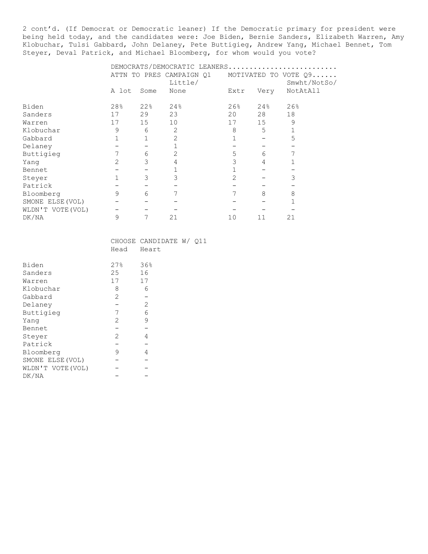2 cont'd. (If Democrat or Democratic leaner) If the Democratic primary for president were being held today, and the candidates were: Joe Biden, Bernie Sanders, Elizabeth Warren, Amy Klobuchar, Tulsi Gabbard, John Delaney, Pete Buttigieg, Andrew Yang, Michael Bennet, Tom Steyer, Deval Patrick, and Michael Bloomberg, for whom would you vote?

|                   |                |      | DEMOCRATS/DEMOCRATIC LEANERS |               |      |                      |
|-------------------|----------------|------|------------------------------|---------------|------|----------------------|
|                   |                |      | ATTN TO PRES CAMPAIGN Q1     |               |      | MOTIVATED TO VOTE Q9 |
|                   |                |      | Little/                      |               |      | Smwht/NotSo/         |
|                   | A lot          | Some | None                         | Extr          | Very | NotAtAll             |
| Biden             | 28%            | 22%  | 24%                          | 26%           | 24%  | 26%                  |
| Sanders           | 17             | 29   | 23                           | 20            | 28   | 18                   |
| Warren            | 17             | 15   | 10                           | 17            | 15   | 9                    |
| Klobuchar         | 9              | 6    | 2                            | 8             | 5    |                      |
| Gabbard           |                |      | 2                            |               |      | 5                    |
| Delaney           |                |      |                              |               |      |                      |
| Buttigieg         | 7              | 6    | $\overline{2}$               | 5             | 6    |                      |
| Yang              | $\overline{2}$ | 3    | 4                            | 3             | 4    |                      |
| Bennet            |                |      |                              |               |      |                      |
| Steyer            |                | 3    | 3                            | $\mathcal{D}$ |      | 3                    |
| Patrick           |                |      |                              |               |      |                      |
| Bloomberg         | 9              | 6    | 7                            | 7             | 8    | 8                    |
| SMONE ELSE (VOL)  |                |      |                              |               |      |                      |
| WLDN'T VOTE (VOL) |                |      |                              |               |      |                      |
| DK/NA             | 9              | 7    | 21                           | 10            | 11   | 21                   |

|                  | Head | CHOOSE CANDIDATE W/ 011<br>Heart |  |
|------------------|------|----------------------------------|--|
| Biden            | 27%  | 36%                              |  |
| Sanders          | 25   | 16                               |  |
| Warren           | 17   | 17                               |  |
| Klobuchar        | 8    | 6                                |  |
| Gabbard          | 2    |                                  |  |
| Delaney          |      | 2                                |  |
| Buttigieg        | 7    | 6                                |  |
| Yanq             | 2    | 9                                |  |
| Bennet           |      |                                  |  |
| Steyer           | 2    | 4                                |  |
| Patrick          |      |                                  |  |
| Bloomberg        | 9    | 4                                |  |
| SMONE ELSE (VOL) |      |                                  |  |
| WLDN'T VOTE(VOL) |      |                                  |  |
| DK/NA            |      |                                  |  |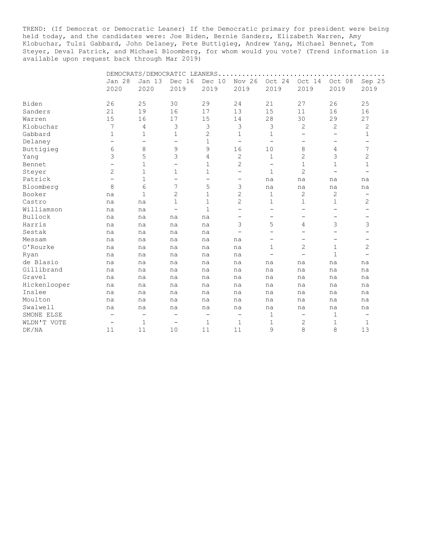TREND: (If Democrat or Democratic Leaner) If the Democratic primary for president were being held today, and the candidates were: Joe Biden, Bernie Sanders, Elizabeth Warren, Amy Klobuchar, Tulsi Gabbard, John Delaney, Pete Buttigieg, Andrew Yang, Michael Bennet, Tom Steyer, Deval Patrick, and Michael Bloomberg, for whom would you vote? (Trend information is available upon request back through Mar 2019)

|              |                          |                          | DEMOCRATS/DEMOCRATIC LEANERS. |                          |                          |                   |                          |                          |                          |
|--------------|--------------------------|--------------------------|-------------------------------|--------------------------|--------------------------|-------------------|--------------------------|--------------------------|--------------------------|
|              | <b>Jan 28</b>            | <b>Jan 13</b>            | Dec 16                        | Dec 10                   | Nov 26                   | Oct 24            | Oct 14                   | Oct 08                   | Sep 25                   |
|              | 2020                     | 2020                     | 2019                          | 2019                     | 2019                     | 2019              | 2019                     | 2019                     | 2019                     |
|              |                          |                          |                               |                          |                          |                   |                          |                          |                          |
| Biden        | 26                       | 25                       | 30                            | 29                       | 24                       | 21                | 27                       | 26                       | 25                       |
| Sanders      | 21                       | 19                       | 16                            | 17                       | 13                       | 15                | 11                       | 16                       | 16                       |
| Warren       | 15                       | 16                       | 17                            | 15                       | 14                       | 28                | 30                       | 29                       | 27                       |
| Klobuchar    | 7                        | 4                        | 3                             | 3                        | 3                        | 3                 | 2                        | 2                        | $\mathbf{2}$             |
| Gabbard      | $\mathbf{1}$             | 1                        | 1                             | $\mathbf{2}$             | $\mathbf 1$              | 1                 | $\equiv$                 | $\overline{\phantom{0}}$ | $\mathbf 1$              |
| Delaney      | $\overline{\phantom{0}}$ | $\qquad \qquad -$        | $\overline{\phantom{0}}$      | $\mathbf 1$              | $\overline{\phantom{a}}$ | $\qquad \qquad =$ | $\overline{\phantom{0}}$ | $\qquad \qquad -$        | $\qquad \qquad -$        |
| Buttigieg    | 6                        | 8                        | 9                             | 9                        | 16                       | 10                | 8                        | 4                        | 7                        |
| Yang         | 3                        | 5                        | 3                             | 4                        | 2                        | 1                 | $\overline{2}$           | 3                        | 2                        |
| Bennet       | $\overline{\phantom{0}}$ | 1                        | $\overline{\phantom{0}}$      | 1                        | $\overline{c}$           | $\qquad \qquad -$ | 1                        | 1                        | 1                        |
| Steyer       | 2                        | 1                        | 1                             | 1                        | $\overline{\phantom{0}}$ | 1                 | $\overline{2}$           | $\overline{\phantom{0}}$ | $\qquad \qquad -$        |
| Patrick      | $\overline{\phantom{0}}$ | $\mathbf{1}$             | $\overline{\phantom{0}}$      | $\overline{\phantom{0}}$ | $\qquad \qquad -$        | na                | na                       | na                       | na                       |
| Bloomberg    | 8                        | 6                        | 7                             | 5                        | 3                        | na                | na                       | na                       | na                       |
| Booker       | na                       | 1                        | 2                             | 1                        | 2                        | 1                 | 2                        | 2                        | -                        |
| Castro       | na                       | na                       | 1                             | $\mathbf 1$              | 2                        | 1                 | 1                        | $\mathbf 1$              | 2                        |
| Williamson   | na                       | na                       | $\overline{\phantom{0}}$      | 1                        | $\overline{\phantom{0}}$ |                   | $\overline{\phantom{0}}$ | $\qquad \qquad -$        | $\qquad \qquad -$        |
| Bullock      | na                       | na                       | na                            | na                       | $\overline{\phantom{m}}$ | -                 | -                        | -                        | -                        |
| Harris       | na                       | na                       | na                            | na                       | 3                        | 5                 | 4                        | 3                        | 3                        |
| Sestak       | na                       | na                       | na                            | na                       | $\overline{\phantom{0}}$ |                   | -                        | -                        | -                        |
| Messam       | na                       | na                       | na                            | na                       | na                       |                   | -                        | $\overline{\phantom{0}}$ | -                        |
| O'Rourke     | na                       | na                       | na                            | na                       | na                       | 1                 | $\mathbf{2}$             | $\mathbf{1}$             | $\overline{c}$           |
| Ryan         | na                       | na                       | na                            | na                       | na                       |                   | $\overline{\phantom{0}}$ | $\mathbf{1}$             | $\qquad \qquad -$        |
| de Blasio    | na                       | na                       | na                            | na                       | na                       | na                | na                       | na                       | na                       |
| Gillibrand   | na                       | na                       | na                            | na                       | na                       | na                | na                       | na                       | na                       |
| Gravel       | na                       | na                       | na                            | na                       | na                       | na                | na                       | na                       | na                       |
| Hickenlooper | na                       | na                       | na                            | na                       | na                       | na                | na                       | na                       | na                       |
| Inslee       | na                       | na                       | na                            | na                       | na                       | na                | na                       | na                       | na                       |
| Moulton      | na                       | na                       | na                            | na                       | na                       | na                | na                       | na                       | na                       |
| Swalwell     | na                       | na                       | na                            | na                       | na                       | na                | na                       | na                       | na                       |
| SMONE ELSE   | $\overline{\phantom{m}}$ | $\overline{\phantom{m}}$ | $\overline{\phantom{m}}$      | $\overline{\phantom{0}}$ | $\qquad \qquad -$        | 1                 | $\overline{\phantom{0}}$ | $\mathbf 1$              | $\overline{\phantom{m}}$ |
| WLDN'T VOTE  | $\overline{\phantom{m}}$ | 1                        | $\overline{\phantom{m}}$      | 1                        | 1                        | 1                 | 2                        | 1                        | 1                        |
| DK/NA        | 11                       | 11                       | 10                            | 11                       | 11                       | 9                 | 8                        | 8                        | 13                       |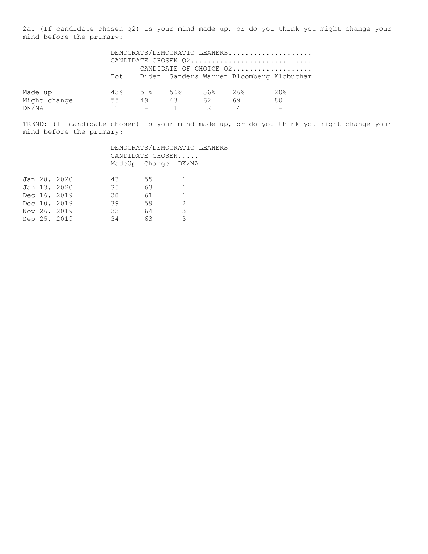2a. (If candidate chosen q2) Is your mind made up, or do you think you might change your mind before the primary?

|              |    |    |                     |    | DEMOCRATS/DEMOCRATIC LEANERS                 |     |
|--------------|----|----|---------------------|----|----------------------------------------------|-----|
|              |    |    |                     |    | CANDIDATE CHOSEN 02                          |     |
|              |    |    |                     |    | CANDIDATE OF CHOICE Q2                       |     |
|              |    |    |                     |    | Tot Biden Sanders Warren Bloomberg Klobuchar |     |
|              |    |    |                     |    |                                              |     |
| Made up      |    |    | 43% 51% 56% 36% 26% |    |                                              | 20% |
| Might change | 55 | 49 | 43                  | 62 | 69                                           | 80  |
| DK/NA        |    |    |                     |    | 4                                            |     |

TREND: (If candidate chosen) Is your mind made up, or do you think you might change your mind before the primary?

|  |              |    | CANDIDATE CHOSEN    | DEMOCRATS/DEMOCRATIC LEANERS |
|--|--------------|----|---------------------|------------------------------|
|  |              |    | MadeUp Change DK/NA |                              |
|  | Jan 28, 2020 | 43 | 55                  |                              |
|  | Jan 13, 2020 | 35 | 63                  | $\overline{1}$               |
|  | Dec 16, 2019 | 38 | 61                  | 1                            |
|  | Dec 10, 2019 | 39 | 59                  | $\mathcal{L}$                |
|  | Nov 26, 2019 | 33 | 64                  | 3                            |
|  | Sep 25, 2019 | 34 | 63                  | 3                            |
|  |              |    |                     |                              |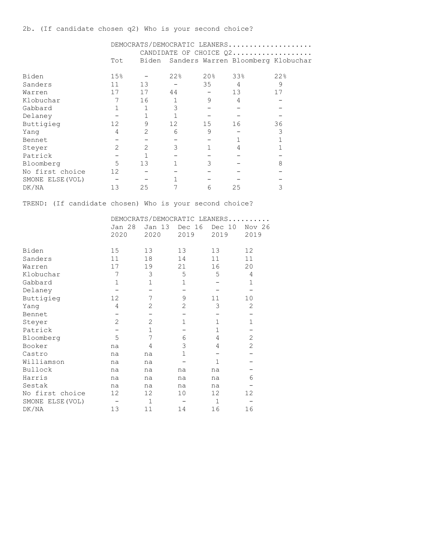|                 |     |               |     |        | DEMOCRATS/DEMOCRATIC LEANERS       |     |
|-----------------|-----|---------------|-----|--------|------------------------------------|-----|
|                 |     |               |     |        | CANDIDATE OF CHOICE Q2             |     |
|                 | Tot | Biden         |     |        | Sanders Warren Bloomberg Klobuchar |     |
|                 |     |               |     |        |                                    |     |
| Biden           | 15% |               | 22% | $20\%$ | 33%                                | 22% |
| Sanders         | 11  | 13            |     | 35     | 4                                  | 9   |
| Warren          | 17  | 17            | 44  |        | 13                                 | 17  |
| Klobuchar       | 7   | 16            |     | 9      | 4                                  |     |
| Gabbard         |     |               |     |        |                                    |     |
| Delaney         |     |               |     |        |                                    |     |
| Buttigieg       | 12  | 9             | 12  | 15     | 16                                 | 36  |
| Yanq            | 4   |               | 6   | 9      |                                    |     |
| Bennet          |     |               |     |        |                                    |     |
| Steyer          | 2   | $\mathcal{D}$ | 3   |        | 4                                  |     |
| Patrick         |     |               |     |        |                                    |     |
| Bloomberg       | 5   | 13            |     | 3      |                                    | 8   |
| No first choice | 12  |               |     |        |                                    |     |

TREND: (If candidate chosen) Who is your second choice?

SMONE ELSE(VOL) - - - 1 - - - -DR/NA 1101 (1911)<br>DK/NA 13 25 7 6 25 3

|                  |                |                | DEMOCRATS/DEMOCRATIC LEANERS |                |             |
|------------------|----------------|----------------|------------------------------|----------------|-------------|
|                  | <b>Jan 28</b>  | Jan 13         | Dec 16                       | Dec 10         | Nov 26      |
|                  | 2020           | 2020           | 2019                         | 2019           | 2019        |
| Biden            | 15             | 13             | 13                           | 13             | 12          |
| Sanders          | 11             | 18             | 14                           | 11             | 11          |
| Warren           | 17             | 19             | 21                           | 16             | 20          |
| Klobuchar        | 7              | 3              | 5                            | 5              | 4           |
| Gabbard          | $\mathbf{1}$   | $\mathbf 1$    | $\mathbf 1$                  |                | $\mathbf 1$ |
| Delaney          |                |                |                              |                |             |
| Buttigieg        | 12             | 7              | 9                            | 11             | 10          |
| Yang             | 4              | $\overline{2}$ | $\overline{2}$               | 3              | 2           |
| Bennet           |                |                |                              |                |             |
| Steyer           | $\overline{2}$ | $\overline{2}$ | $\mathbf 1$                  | $\mathbf{1}$   | $\mathbf 1$ |
| Patrick          |                | $\mathbf 1$    |                              | $\mathbf 1$    |             |
| Bloomberg        | 5              | 7              | 6                            | 4              | 2           |
| Booker           | na             | 4              | 3                            | $\overline{4}$ | 2           |
| Castro           | na             | na             | $\mathbf{1}$                 |                |             |
| Williamson       | na             | na             |                              | $\mathbf{1}$   |             |
| Bullock          | na             | na             | na                           | na             |             |
| Harris           | na             | na             | na                           | na             | 6           |
| Sestak           | na             | na             | na                           | na             |             |
| No first choice  | 12             | 12             | 10                           | 12             | 12          |
| SMONE ELSE (VOL) |                | $\mathbf{1}$   |                              | $\mathbf{1}$   |             |
| DK/NA            | 13             | 11             | 14                           | 16             | 16          |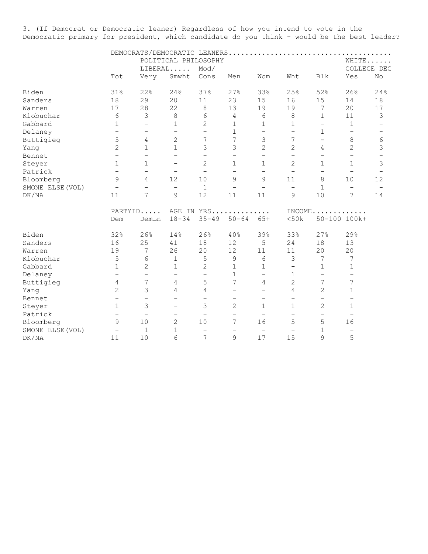3. (If Democrat or Democratic leaner) Regardless of how you intend to vote in the Democratic primary for president, which candidate do you think - would be the best leader?

|                  |                                                                                                                                                                                                       |                          |                          | POLITICAL PHILOSOPHY     |                          |                          |                          |                          |                          | WHITE                    |
|------------------|-------------------------------------------------------------------------------------------------------------------------------------------------------------------------------------------------------|--------------------------|--------------------------|--------------------------|--------------------------|--------------------------|--------------------------|--------------------------|--------------------------|--------------------------|
|                  | Tot<br>31%<br>18<br>17<br>6<br>$\mathbf 1$<br>$\overline{\phantom{a}}$<br>5<br>$\overline{c}$<br>$\overline{\phantom{0}}$<br>$\mathbf{1}$<br>$\qquad \qquad -$<br>9<br>$\overline{\phantom{m}}$<br>11 |                          | LIBERAL                  | Mod/                     |                          |                          |                          |                          |                          | COLLEGE DEG              |
|                  |                                                                                                                                                                                                       | Very                     | Smwht                    | Cons                     | Men                      | Wom                      | Wht                      | Blk                      | Yes                      | No                       |
| Biden            |                                                                                                                                                                                                       | 22%                      | 24%                      | 37%                      | 27%                      | 33%                      | 25%                      | 52%                      | 26%                      | 24%                      |
| Sanders          |                                                                                                                                                                                                       | 29                       | 20                       | 11                       | 23                       | 15                       | 16                       | 15                       | 14                       | 18                       |
| Warren           |                                                                                                                                                                                                       | 28                       | 22                       | 8                        | 13                       | 19                       | 19                       | 7                        | 20                       | 17                       |
| Klobuchar        |                                                                                                                                                                                                       | $\mathfrak{Z}$           | 8                        | 6                        | $\overline{4}$           | 6                        | 8                        | $\mathbf{1}$             | 11                       | 3                        |
| Gabbard          |                                                                                                                                                                                                       | $\qquad \qquad -$        | 1                        | $\overline{c}$           | $\mathbf 1$              | 1                        | 1                        | $\qquad \qquad -$        | $\mathbf 1$              |                          |
| Delaney          |                                                                                                                                                                                                       | $\qquad \qquad -$        | $\qquad \qquad -$        | $\qquad \qquad -$        | $\mathbf{1}$             | $\qquad \qquad -$        | $\qquad \qquad -$        | $\mathbf 1$              | $\overline{\phantom{0}}$ | $\overline{\phantom{m}}$ |
| Buttigieg        |                                                                                                                                                                                                       | 4                        | $\overline{c}$           | 7                        | 7                        | 3                        | 7                        | $\qquad \qquad -$        | 8                        | 6                        |
| Yang             |                                                                                                                                                                                                       | $\mathbf{1}$             | $\mathbf{1}$             | 3                        | 3                        | $\overline{2}$           | $\overline{c}$           | 4                        | 2                        | 3                        |
| Bennet           |                                                                                                                                                                                                       | $\overline{\phantom{0}}$ | $\overline{\phantom{0}}$ | $\qquad \qquad -$        | $\qquad \qquad -$        | $\overline{\phantom{0}}$ | $\qquad \qquad -$        | $\qquad \qquad -$        | $\overline{\phantom{m}}$ |                          |
| Steyer           |                                                                                                                                                                                                       | $\mathbf{1}$             | $\overline{\phantom{0}}$ | $\overline{2}$           | $\mathbf{1}$             | $\mathbf{1}$             | $\overline{2}$           | $\mathbf 1$              | $\mathbf{1}$             | 3                        |
| Patrick          |                                                                                                                                                                                                       | $\overline{\phantom{0}}$ | $\overline{\phantom{m}}$ | $\overline{\phantom{0}}$ | $\overline{\phantom{0}}$ | $\overline{\phantom{0}}$ | $\overline{\phantom{0}}$ | $\qquad \qquad -$        | $\overline{\phantom{0}}$ |                          |
| Bloomberg        |                                                                                                                                                                                                       | 4                        | 12                       | 10                       | 9                        | 9                        | 11                       | 8                        | 10                       | 12                       |
| SMONE ELSE (VOL) |                                                                                                                                                                                                       | $\overline{\phantom{0}}$ | $\overline{\phantom{0}}$ | 1                        | $\overline{\phantom{0}}$ | $\overline{\phantom{0}}$ | $\overline{\phantom{0}}$ | $\mathbf{1}$             | $\overline{\phantom{m}}$ |                          |
| DK/NA            |                                                                                                                                                                                                       | 7                        | 9                        | 12                       | 11                       | 11                       | 9                        | 10                       | 7                        | 14                       |
|                  |                                                                                                                                                                                                       | PARTYID                  |                          |                          | AGE IN YRS               |                          |                          |                          | $INCOME$                 |                          |
|                  | Dem                                                                                                                                                                                                   | DemLn                    | $18 - 34$                | $35 - 49$                | $50 - 64$                | $65+$                    | <50k                     |                          | 50-100 100k+             |                          |
| Biden            | 32%                                                                                                                                                                                                   | 26%                      | 14%                      | 26%                      | 40%                      | 39%                      | 33%                      | 27%                      | 29%                      |                          |
| Sanders          | 16                                                                                                                                                                                                    | 25                       | 41                       | 18                       | 12                       | 5                        | 24                       | 18                       | 13                       |                          |
| Warren           | 19                                                                                                                                                                                                    | 7                        | 26                       | 20                       | 12                       | 11                       | 11                       | 20                       | 20                       |                          |
| Klobuchar        | 5                                                                                                                                                                                                     | 6                        | $\mathbf{1}$             | 5                        | 9                        | 6                        | 3                        | 7                        | 7                        |                          |
| Gabbard          | $\mathbf 1$                                                                                                                                                                                           | 2                        | 1                        | 2                        | $\mathbf{1}$             | 1                        | $\overline{\phantom{0}}$ | 1                        | 1                        |                          |
| Delaney          | $\overline{\phantom{0}}$                                                                                                                                                                              | $\qquad \qquad -$        | $\qquad \qquad -$        | $\qquad \qquad -$        | $\mathbf{1}$             | $\overline{\phantom{0}}$ | 1                        | $\overline{\phantom{0}}$ | $\overline{\phantom{m}}$ |                          |
| Buttigieg        | 4                                                                                                                                                                                                     | 7                        | 4                        | 5                        | 7                        | 4                        | $\overline{c}$           | 7                        | 7                        |                          |
| Yang             | $\overline{2}$                                                                                                                                                                                        | 3                        | 4                        | 4                        | $\overline{\phantom{0}}$ | $\overline{\phantom{0}}$ | 4                        | $\overline{2}$           | 1                        |                          |
| Bennet           | $\overline{\phantom{m}}$                                                                                                                                                                              | $\qquad \qquad -$        | $\overline{\phantom{0}}$ | $\overline{\phantom{0}}$ | $\qquad \qquad -$        | $\qquad \qquad -$        | $\overline{\phantom{0}}$ | $\overline{\phantom{0}}$ | $\overline{\phantom{m}}$ |                          |
| Steyer           | $\mathbf 1$                                                                                                                                                                                           | 3                        |                          | 3                        | $\overline{c}$           | 1                        | 1                        | $\mathbf{2}$             | $\mathbf{1}$             |                          |
| Patrick          | $\overline{\phantom{m}}$                                                                                                                                                                              | $\overline{\phantom{a}}$ | $\qquad \qquad -$        | $\overline{\phantom{0}}$ | $\overline{\phantom{0}}$ | $\overline{\phantom{0}}$ | $\overline{\phantom{0}}$ | $\qquad \qquad -$        | $\overline{\phantom{m}}$ |                          |
| Bloomberg        | 9                                                                                                                                                                                                     | 10                       | 2                        | 10                       | 7                        | 16                       | 5                        | 5                        | 16                       |                          |
| SMONE ELSE (VOL) | $\qquad \qquad -$                                                                                                                                                                                     | $\mathbf{1}$             | $\mathbf{1}$             | $\overline{\phantom{0}}$ | $\overline{\phantom{0}}$ | $\qquad \qquad -$        | $\overline{\phantom{0}}$ | 1                        | $\overline{\phantom{m}}$ |                          |
| DK/NA            | 11                                                                                                                                                                                                    | 10                       | 6                        | 7                        | 9                        | 17                       | 15                       | 9                        | 5                        |                          |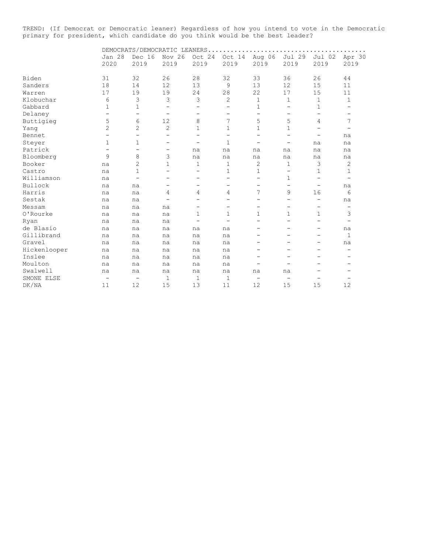TREND: (If Democrat or Democratic leaner) Regardless of how you intend to vote in the Democratic primary for president, which candidate do you think would be the best leader?

|              |                          |                          | DEMOCRATS/DEMOCRATIC LEANERS |                          |                          |                          |                          |                          |                          |
|--------------|--------------------------|--------------------------|------------------------------|--------------------------|--------------------------|--------------------------|--------------------------|--------------------------|--------------------------|
|              | <b>Jan 28</b><br>2020    | Dec 16<br>2019           | Nov 26<br>2019               | Oct 24<br>2019           | Oct 14<br>2019           | Aug 06<br>2019           | Jul 29<br>2019           | Jul 02<br>2019           | Apr 30<br>2019           |
|              |                          |                          |                              |                          |                          |                          |                          |                          |                          |
| Biden        | 31                       | 32                       | 26                           | 28                       | 32                       | 33                       | 36                       | 26                       | 44                       |
| Sanders      | 18                       | 14                       | 12                           | 13                       | 9                        | 13                       | 12                       | 15                       | 11                       |
| Warren       | 17                       | 19                       | 19                           | 24                       | 28                       | 22                       | 17                       | 15                       | 11                       |
| Klobuchar    | 6                        | 3                        | 3                            | 3                        | 2                        | 1                        | $\mathbf 1$              | 1                        | 1                        |
| Gabbard      | $\mathbf{1}$             | 1                        | $\qquad \qquad -$            | -                        | -                        | 1                        | $\qquad \qquad -$        | 1                        | $\overline{\phantom{0}}$ |
| Delaney      | $\overline{\phantom{0}}$ | $\overline{\phantom{0}}$ | $\overline{\phantom{0}}$     | -                        | -                        | $\overline{\phantom{0}}$ | $\overline{\phantom{0}}$ | $\overline{\phantom{0}}$ |                          |
| Buttigieg    | 5                        | 6                        | 12                           | 8                        | 7                        | 5                        | 5                        | 4                        | 7                        |
| Yang         | $\overline{c}$           | $\overline{c}$           | $\mathbf{2}$                 | 1                        | 1                        | $\mathbf 1$              | $\mathbf 1$              | -                        |                          |
| Bennet       |                          | -                        | -                            | -                        | -                        | $\overline{\phantom{0}}$ | $\overline{\phantom{0}}$ | -                        | na                       |
| Steyer       | 1                        | 1                        | -                            | $\overline{\phantom{0}}$ | 1                        | $\overline{\phantom{0}}$ | -                        | na                       | na                       |
| Patrick      |                          | $\overline{\phantom{0}}$ | -                            | na                       | na                       | na                       | na                       | na                       | na                       |
| Bloomberg    | 9                        | 8                        | 3                            | na                       | na                       | na                       | na                       | na                       | na                       |
| Booker       | na                       | $\overline{2}$           | 1                            | 1                        | 1                        | $\overline{c}$           | 1                        | 3                        | 2                        |
| Castro       | na                       | $\mathbf{1}$             | -                            | -                        | 1                        | 1                        | $\overline{\phantom{m}}$ | 1                        | 1                        |
| Williamson   | na                       | $\overline{\phantom{0}}$ | -                            | -                        | $\overline{\phantom{0}}$ | $\overline{a}$           | 1                        | $\overline{\phantom{0}}$ | $\overline{\phantom{0}}$ |
| Bullock      | na                       | na                       |                              |                          |                          | -                        | -                        | -                        | na                       |
| Harris       | na                       | na                       | 4                            | 4                        | 4                        | 7                        | 9                        | 16                       | 6                        |
| Sestak       | na                       | na                       | -                            | $\overline{\phantom{0}}$ | -                        | $\overline{\phantom{0}}$ | $\qquad \qquad -$        | $\overline{\phantom{0}}$ | na                       |
| Messam       | na                       | na                       | na                           | -                        | -                        | -                        | -                        | -                        | -                        |
| O'Rourke     | na                       | na                       | na                           | $\mathbf 1$              | 1                        | $\mathbf 1$              | $\mathbf 1$              | $\mathbf 1$              | 3                        |
| Ryan         | na                       | na                       | na                           | $\overline{\phantom{0}}$ |                          | $\overline{a}$           | $\overline{\phantom{0}}$ | $\overline{\phantom{0}}$ | $\overline{\phantom{0}}$ |
| de Blasio    | na                       | na                       | na                           | na                       | na                       | -                        | -                        | -                        | na                       |
| Gillibrand   | na                       | na                       | na                           | na                       | na                       | -                        |                          | -                        | $\mathbf 1$              |
| Gravel       | na                       | na                       | na                           | na                       | na                       | -                        |                          | -                        | na                       |
| Hickenlooper | na                       | na                       | na                           | na                       | na                       |                          |                          |                          |                          |
| Inslee       | na                       | na                       | na                           | na                       | na                       |                          |                          |                          |                          |
| Moulton      | na                       | na                       | na                           | na                       | na                       | -                        |                          |                          |                          |
| Swalwell     | na                       | na                       | na                           | na                       | na                       | na                       | na                       |                          |                          |
| SMONE ELSE   | $\overline{\phantom{m}}$ | $\overline{\phantom{m}}$ | $\mathbf{1}$                 | 1                        | 1                        | $\qquad \qquad -$        | $\overline{\phantom{0}}$ | $\overline{\phantom{0}}$ |                          |
| DK/NA        | 11                       | 12                       | 15                           | 13                       | 11                       | 12                       | 15                       | 15                       | 12                       |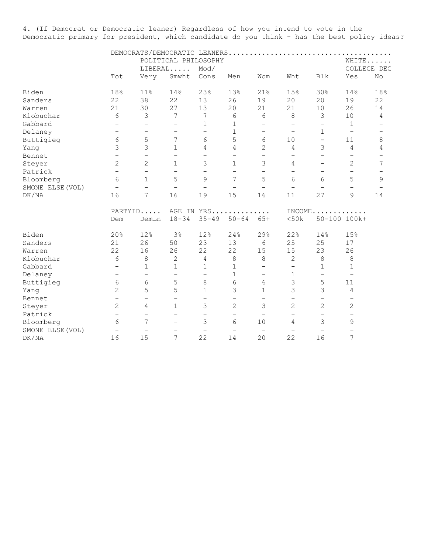4. (If Democrat or Democratic leaner) Regardless of how you intend to vote in the Democratic primary for president, which candidate do you think - has the best policy ideas?

|                  |                          |                          |                          | POLITICAL PHILOSOPHY     |                          |                          |                          |                          |                          | WHITE                    |
|------------------|--------------------------|--------------------------|--------------------------|--------------------------|--------------------------|--------------------------|--------------------------|--------------------------|--------------------------|--------------------------|
|                  |                          |                          | LIBERAL                  | Mod/                     |                          |                          |                          |                          |                          | COLLEGE DEG              |
|                  | Tot                      | Very                     | Smwht                    | Cons                     | Men                      | Wom                      | Wht                      | Blk                      | Yes                      | No                       |
| Biden            | 18%                      | 11%                      | 14%                      | 23%                      | 13%                      | 21%                      | 15%                      | 30%                      | 14%                      | 18%                      |
| Sanders          | 22                       | 38                       | 22                       | 13                       | 26                       | 19                       | 20                       | 20                       | 19                       | 22                       |
| Warren           | 21                       | 30                       | 27                       | 13                       | 20                       | 21                       | 21                       | 10                       | 26                       | 14                       |
| Klobuchar        | 6                        | 3                        | 7                        | 7                        | $\epsilon$               | 6                        | 8                        | 3                        | $10$                     | 4                        |
| Gabbard          | $\overline{\phantom{0}}$ | $\qquad \qquad -$        | $\qquad \qquad -$        | 1                        | $\mathbf 1$              | $\overline{\phantom{0}}$ | $\qquad \qquad -$        | $\qquad \qquad -$        | 1                        |                          |
| Delaney          | $\qquad \qquad -$        | $\overline{\phantom{0}}$ | $\qquad \qquad -$        | $\overline{\phantom{0}}$ | $\mathbf 1$              | $\overline{\phantom{0}}$ | $\qquad \qquad -$        | $\mathbf 1$              | $\overline{\phantom{m}}$ | $\overline{\phantom{a}}$ |
| Buttigieg        | 6                        | 5                        | 7                        | 6                        | 5                        | 6                        | 10                       | $\overline{\phantom{0}}$ | 11                       | 8                        |
| Yang             | $\mathfrak{Z}$           | 3                        | $\mathbf 1$              | 4                        | 4                        | $\overline{2}$           | 4                        | $\mathfrak{Z}$           | 4                        | 4                        |
| Bennet           | $\overline{\phantom{a}}$ | $\overline{\phantom{0}}$ | $\overline{\phantom{0}}$ | $\qquad \qquad -$        | $\overline{\phantom{0}}$ | $\overline{\phantom{0}}$ | $\overline{\phantom{0}}$ | $\qquad \qquad -$        | $\overline{\phantom{0}}$ |                          |
| Steyer           | 2                        | $\overline{2}$           | $\mathbf{1}$             | 3                        | $\mathbf{1}$             | 3                        | 4                        |                          | $\mathbf{2}$             | 7                        |
| Patrick          | $\overline{\phantom{0}}$ | $\qquad \qquad -$        | $\qquad \qquad -$        | $\overline{\phantom{0}}$ | $\overline{\phantom{m}}$ | $\overline{\phantom{m}}$ | $\overline{\phantom{0}}$ | $\overline{\phantom{0}}$ | $\overline{\phantom{0}}$ |                          |
| Bloomberg        | 6                        | $\mathbf{1}$             | 5                        | 9                        | 7                        | 5                        | 6                        | 6                        | 5                        | 9                        |
| SMONE ELSE (VOL) | $\overline{\phantom{0}}$ | $\overline{\phantom{0}}$ | $\overline{\phantom{0}}$ | $\overline{\phantom{0}}$ | $\overline{\phantom{0}}$ | $\overline{\phantom{0}}$ | $\overline{\phantom{0}}$ |                          |                          |                          |
| DK/NA            | 16                       | $\overline{7}$           | 16                       | 19                       | 15                       | 16                       | 11                       | 27                       | 9                        | 14                       |
|                  | PARTYID                  |                          |                          |                          | AGE IN YRS               |                          | INCOME.                  |                          | .                        |                          |
|                  | Dem                      | DemLn                    | $18 - 34$                | $35 - 49$                | $50 - 64$                | $65+$                    | < 50k                    |                          | 50-100 100k+             |                          |
| Biden            | 20%                      | 12%                      | 3 <sup>°</sup>           | 12%                      | 24%                      | 29%                      | 22%                      | 14%                      | 15%                      |                          |
| Sanders          | 21                       | 26                       | 50                       | 23                       | 13                       | 6                        | 25                       | 25                       | 17                       |                          |
| Warren           | 22                       | 16                       | 26                       | 22                       | 22                       | 15                       | 15                       | 23                       | 26                       |                          |
| Klobuchar        | 6                        | 8                        | $\mathbf{2}$             | 4                        | 8                        | 8                        | $\mathbf{2}$             | 8                        | 8                        |                          |
| Gabbard          | $\qquad \qquad -$        | 1                        | $\mathbf 1$              | 1                        | 1                        | $\overline{\phantom{0}}$ | $\overline{\phantom{0}}$ | 1                        | 1                        |                          |
| Delaney          | $\qquad \qquad -$        | $\qquad \qquad -$        | $\qquad \qquad -$        | $\qquad \qquad -$        | $\mathbf 1$              | -                        | 1                        | $\overline{\phantom{0}}$ | $\overline{\phantom{m}}$ |                          |
| Buttigieg        | 6                        | 6                        | 5                        | 8                        | 6                        | 6                        | 3                        | 5                        | 11                       |                          |
| Yang             | $\overline{2}$           | 5                        | 5                        | 1                        | 3                        | $\mathbf 1$              | 3                        | 3                        | 4                        |                          |
| Bennet           | $\qquad \qquad -$        | $\qquad \qquad -$        | $\qquad \qquad -$        | $\qquad \qquad -$        | $\qquad \qquad -$        | $\overline{\phantom{0}}$ | $\overline{\phantom{0}}$ | $\qquad \qquad -$        |                          |                          |
| Steyer           | $\overline{c}$           | 4                        | $\mathbf 1$              | 3                        | $\overline{c}$           | 3                        | $\overline{c}$           | $\overline{c}$           | 2                        |                          |
| Patrick          | $\overline{\phantom{0}}$ | $\overline{\phantom{0}}$ | $\qquad \qquad -$        | $\overline{\phantom{0}}$ | $\qquad \qquad -$        | $\overline{\phantom{0}}$ | $\overline{\phantom{0}}$ | $\qquad \qquad -$        | $\qquad \qquad -$        |                          |
| Bloomberg        | 6                        | $\overline{7}$           | $\qquad \qquad -$        | 3                        | 6                        | 10                       | 4                        | 3                        | 9                        |                          |
| SMONE ELSE (VOL) | $\overline{\phantom{a}}$ | $\overline{\phantom{0}}$ | $\overline{\phantom{0}}$ | $\qquad \qquad -$        | $\qquad \qquad -$        | $\overline{\phantom{0}}$ | $\overline{\phantom{0}}$ |                          |                          |                          |
| DK/NA            | 16                       | 15                       | 7                        | 22                       | 14                       | 20                       | 22                       | 16                       | $\overline{7}$           |                          |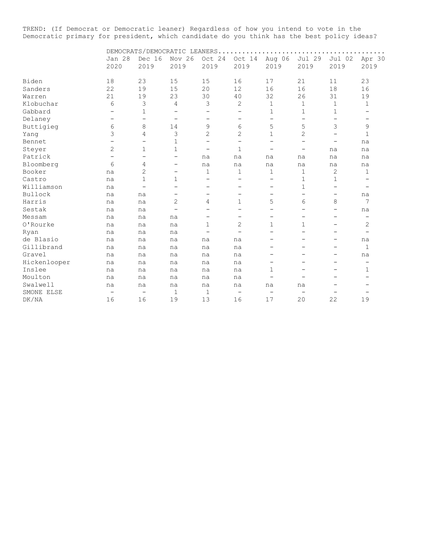TREND: (If Democrat or Democratic leaner) Regardless of how you intend to vote in the Democratic primary for president, which candidate do you think has the best policy ideas?

|              | DEMOCRATS/DEMOCRATIC LEANERS |                   |                          |                          |                          |                          |                          |                          |                          |  |  |
|--------------|------------------------------|-------------------|--------------------------|--------------------------|--------------------------|--------------------------|--------------------------|--------------------------|--------------------------|--|--|
|              | Jan 28                       | Dec 16            | Nov 26                   | Oct 24                   | Oct 14                   | Aug 06                   | Jul 29                   | Jul 02                   | Apr 30                   |  |  |
|              | 2020                         | 2019              | 2019                     | 2019                     | 2019                     | 2019                     | 2019                     | 2019                     | 2019                     |  |  |
| Biden        | 18                           | 23                | 15                       | 15                       | 16                       | 17                       | 21                       | 11                       | 23                       |  |  |
| Sanders      | 22                           | 19                | 15                       | 20                       | 12                       | 16                       | 16                       | 18                       | 16                       |  |  |
| Warren       | 21                           | 19                | 23                       | 30                       | 40                       | 32                       | 26                       | 31                       | 19                       |  |  |
| Klobuchar    | 6                            | 3                 | 4                        | 3                        | 2                        | $\mathbf{1}$             | 1                        | $\mathbf 1$              | $\mathbf 1$              |  |  |
| Gabbard      |                              | $\mathbf{1}$      |                          | $\qquad \qquad -$        |                          | 1                        | $\mathbf{1}$             | 1                        |                          |  |  |
| Delaney      | $\overline{\phantom{0}}$     | $\qquad \qquad -$ | $\qquad \qquad -$        | $\qquad \qquad -$        | -                        | Ξ.                       | -                        | $\qquad \qquad -$        |                          |  |  |
| Buttigieg    | 6                            | 8                 | 14                       | 9                        | 6                        | 5                        | 5                        | 3                        | 9                        |  |  |
| Yang         | 3                            | 4                 | 3                        | $\overline{2}$           | $\overline{2}$           | $\mathbf{1}$             | 2                        | $\overline{\phantom{0}}$ | $\mathbf{1}$             |  |  |
| Bennet       |                              | $\qquad \qquad -$ | 1                        | $\qquad \qquad -$        | -                        | -                        | -                        | -                        | na                       |  |  |
| Steyer       | 2                            | 1                 | $\mathbf{1}$             | $\overline{\phantom{m}}$ | $\mathbf{1}$             | -                        | $\qquad \qquad -$        | na                       | na                       |  |  |
| Patrick      | -                            | $\qquad \qquad -$ | $\qquad \qquad -$        | na                       | na                       | na                       | na                       | na                       | na                       |  |  |
| Bloomberg    | 6                            | 4                 | $\qquad \qquad -$        | na                       | na                       | na                       | na                       | na                       | na                       |  |  |
| Booker       | na                           | 2                 | $\qquad \qquad -$        | $\mathbf 1$              | 1                        | $\mathbf 1$              | 1                        | 2                        | 1                        |  |  |
| Castro       | na                           | 1                 | 1                        | -                        |                          | -                        | 1                        | 1                        |                          |  |  |
| Williamson   | na                           | $\qquad \qquad -$ | -                        | $\overline{\phantom{0}}$ | $\overline{\phantom{0}}$ | -                        | 1                        | $\overline{\phantom{0}}$ |                          |  |  |
| Bullock      | na                           | na                |                          | -                        |                          | $\overline{\phantom{0}}$ | $\overline{\phantom{0}}$ | $\qquad \qquad -$        | na                       |  |  |
| Harris       | na                           | na                | 2                        | 4                        | 1                        | 5                        | 6                        | 8                        | 7                        |  |  |
| Sestak       | na                           | na                | $\overline{\phantom{m}}$ | $\overline{\phantom{0}}$ | $\overline{\phantom{0}}$ | $\equiv$                 | $\overline{\phantom{0}}$ | $\equiv$                 | na                       |  |  |
| Messam       | na                           | na                | na                       | $\overline{\phantom{m}}$ | $\equiv$                 | $\qquad \qquad -$        | $\equiv$                 | $\equiv$                 | $\equiv$                 |  |  |
| O'Rourke     | na                           | na                | na                       | 1                        | $\overline{2}$           | 1                        | 1                        |                          | 2                        |  |  |
| Ryan         | na                           | na                | na                       | $\overline{\phantom{0}}$ | $\overline{\phantom{0}}$ | ÷,                       | $\overline{\phantom{0}}$ | -                        | $\overline{\phantom{0}}$ |  |  |
| de Blasio    | na                           | na                | na                       | na                       | na                       | -                        | $\equiv$                 | $\overline{\phantom{0}}$ | na                       |  |  |
| Gillibrand   | na                           | na                | na                       | na                       | na                       | -                        | $\equiv$                 | -                        | $\mathbf 1$              |  |  |
| Gravel       | na                           | na                | na                       | na                       | na                       | -                        | $\equiv$                 | -                        | na                       |  |  |
| Hickenlooper | na                           | na                | na                       | na                       | na                       | $\overline{\phantom{0}}$ |                          | $\equiv$                 | $\overline{\phantom{0}}$ |  |  |
| Inslee       | na                           | na                | na                       | na                       | na                       | 1                        |                          |                          | $\mathbf{1}$             |  |  |
| Moulton      | na                           | na                | na                       | na                       | na                       |                          |                          |                          |                          |  |  |
| Swalwell     | na                           | na                | na                       | na                       | na                       | na                       | na                       |                          |                          |  |  |
| SMONE ELSE   | $\qquad \qquad -$            | $\qquad \qquad -$ | $\mathbf 1$              | $\mathbf{1}$             | $\overline{\phantom{m}}$ | $\qquad \qquad -$        | $\overline{\phantom{m}}$ |                          |                          |  |  |
| DK/NA        | 16                           | 16                | 19                       | 13                       | 16                       | 17                       | 20                       | 22                       | 19                       |  |  |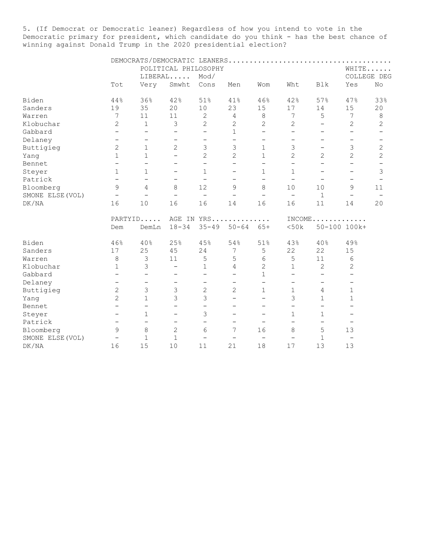5. (If Democrat or Democratic leaner) Regardless of how you intend to vote in the Democratic primary for president, which candidate do you think - has the best chance of winning against Donald Trump in the 2020 presidential election?

|                  |                          |                          |                          | POLITICAL PHILOSOPHY     |                          |                          |                          |                          |                          | WHITE                    |
|------------------|--------------------------|--------------------------|--------------------------|--------------------------|--------------------------|--------------------------|--------------------------|--------------------------|--------------------------|--------------------------|
|                  |                          |                          | LIBERAL                  | Mod/                     |                          |                          |                          |                          |                          | COLLEGE DEG              |
|                  | Tot                      | Very                     | Smwht                    | Cons                     | Men                      | Wom                      | Wht                      | <b>Blk</b>               | Yes                      | No.                      |
| Biden            | 44%                      | 36%                      | 42%                      | 51%                      | 41%                      | 46%                      | 42%                      | 57%                      | 47%                      | 33%                      |
| Sanders          | 19                       | 35                       | 20                       | 10                       | 23                       | 15                       | 17                       | 14                       | 15                       | 20                       |
| Warren           | 7                        | 11                       | 11                       | 2                        | 4                        | 8                        | 7                        | 5                        | 7                        | 8                        |
| Klobuchar        | $\overline{c}$           | $\mathbf 1$              | $\mathfrak{Z}$           | $\overline{c}$           | $\overline{c}$           | $\overline{c}$           | 2                        | $\overline{\phantom{0}}$ | $\mathbf{2}$             | $\mathbf{2}$             |
| Gabbard          | $\qquad \qquad -$        | $\overline{\phantom{0}}$ | $\qquad \qquad -$        | $\qquad \qquad -$        | $\mathbf 1$              | $\overline{\phantom{0}}$ | $\overline{\phantom{0}}$ | $\overline{\phantom{0}}$ | $\overline{\phantom{m}}$ | $\overline{\phantom{0}}$ |
| Delaney          | $\overline{\phantom{a}}$ | $\qquad \qquad -$        | $\qquad \qquad -$        | $\qquad \qquad -$        | $\qquad \qquad -$        | $\overline{\phantom{0}}$ | $\overline{\phantom{0}}$ | -                        | $\overline{\phantom{m}}$ | $\overline{\phantom{m}}$ |
| Buttigieg        | $\overline{c}$           | $\mathbf 1$              | $\overline{2}$           | 3                        | 3                        | 1                        | 3                        | $\overline{\phantom{0}}$ | 3                        | $\mathbf{2}$             |
| Yang             | $\mathbf 1$              | $\mathbf 1$              | $\overline{\phantom{0}}$ | $\overline{2}$           | $\overline{2}$           | $\mathbf{1}$             | $\overline{2}$           | $\overline{2}$           | $\overline{2}$           | $\overline{c}$           |
| Bennet           | $\overline{\phantom{0}}$ | $\overline{a}$           | $\overline{\phantom{0}}$ | $\overline{\phantom{0}}$ | $\overline{\phantom{0}}$ | $\overline{\phantom{0}}$ | $\overline{\phantom{0}}$ | $\overline{\phantom{0}}$ | $\overline{\phantom{0}}$ |                          |
| Steyer           | $\mathbf{1}$             | $\mathbf{1}$             | $\qquad \qquad -$        | $\mathbf{1}$             | $\overline{\phantom{0}}$ | $\mathbf{1}$             | $\mathbf{1}$             |                          |                          | 3                        |
| Patrick          | $\overline{\phantom{m}}$ | $\overline{\phantom{0}}$ | $\qquad \qquad -$        | $\overline{\phantom{0}}$ | $\overline{\phantom{0}}$ | $\overline{\phantom{0}}$ | $\overline{\phantom{0}}$ |                          | $\overline{\phantom{0}}$ |                          |
| Bloomberg        | 9                        | 4                        | 8                        | 12                       | 9                        | 8                        | 10                       | 10                       | 9                        | 11                       |
| SMONE ELSE (VOL) | $\overline{\phantom{a}}$ | $\overline{\phantom{0}}$ | $\overline{\phantom{0}}$ | $\overline{\phantom{m}}$ | $\overline{\phantom{0}}$ | $\overline{\phantom{0}}$ | $\overline{\phantom{0}}$ | $\mathbf{1}$             | $\overline{\phantom{0}}$ | $\overline{\phantom{0}}$ |
| DK/NA            | 16                       | 10                       | 16                       | 16                       | 14                       | 16                       | 16                       | 11                       | 14                       | 20                       |
|                  |                          | PARTYID                  |                          |                          | AGE IN YRS               |                          |                          |                          | $INCOME$                 |                          |
|                  | Dem                      | DemLn                    | $18 - 34$                | $35 - 49$                | $50 - 64$                | $65+$                    | <50k                     |                          | 50-100 100k+             |                          |
| Biden            | 46%                      | 40%                      | 25%                      | 45%                      | 54%                      | 51%                      | 43%                      | 40%                      | 49%                      |                          |
| Sanders          | 17                       | 25                       | 45                       | 24                       | 7                        | 5                        | 22                       | 22                       | 15                       |                          |
| Warren           | 8                        | 3                        | 11                       | 5                        | 5                        | 6                        | 5                        | 11                       | 6                        |                          |
| Klobuchar        | 1                        | 3                        | $\qquad \qquad -$        | $\mathbf 1$              | 4                        | 2                        | 1                        | $\mathbf{2}$             | $\mathbf{2}$             |                          |
| Gabbard          | $\overline{\phantom{m}}$ | $\qquad \qquad -$        | $\overline{\phantom{0}}$ | $\qquad \qquad -$        | $\overline{\phantom{0}}$ | 1                        | $\overline{\phantom{0}}$ | $\overline{\phantom{0}}$ | $\overline{\phantom{m}}$ |                          |
| Delaney          | $\overline{\phantom{m}}$ | $\qquad \qquad -$        | $\qquad \qquad -$        | $\overline{\phantom{m}}$ | $\overline{\phantom{m}}$ | $\overline{\phantom{0}}$ | $\qquad \qquad -$        | $\overline{\phantom{m}}$ | $\overline{\phantom{m}}$ |                          |
| Buttigieg        | $\mathbf{2}$             | 3                        | 3                        | 2                        | $\overline{2}$           | $\mathbf 1$              | $\mathbf{1}$             | 4                        | 1                        |                          |
| Yang             | $\overline{2}$           | $\mathbf 1$              | 3                        | 3                        | $\qquad \qquad -$        | $\overline{\phantom{0}}$ | 3                        | $\mathbf 1$              | $\mathbf 1$              |                          |
| Bennet           | $\overline{\phantom{m}}$ | $\overline{\phantom{0}}$ | $\overline{\phantom{0}}$ | $\overline{\phantom{0}}$ | $\overline{\phantom{0}}$ | $\overline{\phantom{0}}$ | $\overline{\phantom{0}}$ | $\overline{\phantom{m}}$ | $\overline{\phantom{0}}$ |                          |
| Steyer           | $\overline{\phantom{0}}$ | $\mathbf 1$              |                          | 3                        | $\overline{\phantom{0}}$ | $\overline{\phantom{0}}$ | $\mathbf 1$              | $\mathbf 1$              |                          |                          |
| Patrick          | $\overline{\phantom{0}}$ | $\overline{\phantom{0}}$ | $\qquad \qquad -$        | $\overline{\phantom{0}}$ | $\overline{\phantom{0}}$ |                          | $\overline{\phantom{0}}$ | $\overline{\phantom{0}}$ | $\overline{\phantom{m}}$ |                          |
| Bloomberg        | 9                        | 8                        | 2                        | 6                        | 7                        | 16                       | 8                        | 5                        | 13                       |                          |
| SMONE ELSE (VOL) | $\overline{\phantom{0}}$ | $\mathbf 1$              | $\mathbf 1$              |                          | $\overline{\phantom{0}}$ | $\overline{\phantom{0}}$ | $\overline{\phantom{0}}$ | 1                        | $\overline{\phantom{0}}$ |                          |
| DK/NA            | 16                       | 15                       | 10                       | 11                       | 21                       | 18                       | 17                       | 13                       | 13                       |                          |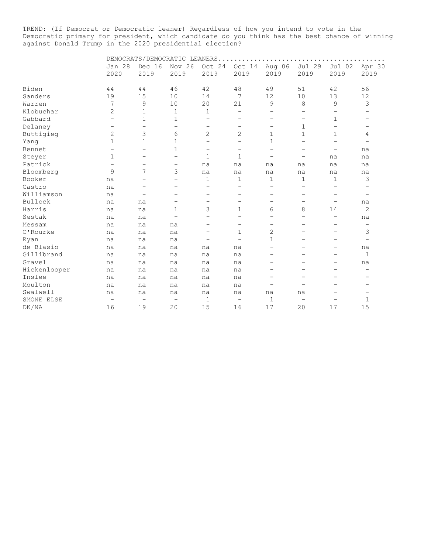TREND: (If Democrat or Democratic leaner) Regardless of how you intend to vote in the Democratic primary for president, which candidate do you think has the best chance of winning against Donald Trump in the 2020 presidential election?

| DEMOCRATS/DEMOCRATIC LEANERS |                          |                          |                          |                          |                          |                          |                          |                          |  |  |
|------------------------------|--------------------------|--------------------------|--------------------------|--------------------------|--------------------------|--------------------------|--------------------------|--------------------------|--|--|
| Jan 28                       | Dec 16                   | Nov 26                   | Oct 24                   | Oct 14                   | Aug 06                   | Jul 29                   | Jul 02                   | Apr 30                   |  |  |
| 2020                         | 2019                     | 2019                     | 2019                     | 2019                     | 2019                     | 2019                     | 2019                     | 2019                     |  |  |
| 44                           | 44                       | 46                       | 42                       | 48                       | 49                       | 51                       | 42                       | 56                       |  |  |
| 19                           |                          |                          | 14                       | 7                        |                          |                          | 13                       | 12                       |  |  |
| 7                            | 9                        | 10                       |                          | 21                       | 9                        | 8                        | 9                        | 3                        |  |  |
| 2                            | 1                        | 1                        | $\mathbf 1$              | -                        | $\qquad \qquad -$        | -                        | $\qquad \qquad -$        |                          |  |  |
| $\overline{\phantom{0}}$     | $\mathbf{1}$             | $\mathbf{1}$             | $\overline{\phantom{0}}$ | -                        | $\qquad \qquad -$        | $\overline{\phantom{m}}$ | $\mathbf 1$              |                          |  |  |
| $\overline{\phantom{0}}$     | $\qquad \qquad -$        | $\qquad \qquad -$        | -                        | -                        | $\qquad \qquad -$        | 1                        | $\qquad \qquad -$        | $\overline{\phantom{0}}$ |  |  |
| 2                            | 3                        | 6                        | $\overline{2}$           | $\overline{2}$           | $\mathbf 1$              | 1                        | $\mathbf{1}$             | 4                        |  |  |
| $\mathbf{1}$                 | $\mathbf 1$              | $\mathbf{1}$             | -                        |                          | $\mathbf 1$              | -                        |                          |                          |  |  |
|                              | $\overline{\phantom{0}}$ | $\mathbf{1}$             | -                        | -                        | -                        | -                        | -                        | na                       |  |  |
| 1                            | $\overline{\phantom{0}}$ | $\overline{\phantom{0}}$ | 1                        | 1                        | $\qquad \qquad -$        | $\qquad \qquad -$        | na                       | na                       |  |  |
| $\overline{\phantom{0}}$     | $\overline{\phantom{0}}$ | $\qquad \qquad -$        | na                       | na                       | na                       | na                       | na                       | na                       |  |  |
| 9                            | 7                        | 3                        | na                       | na                       | na                       | na                       | na                       | na                       |  |  |
| na                           |                          | $\qquad \qquad -$        | 1                        | $\mathbf 1$              | 1                        | $\mathbf 1$              | $\mathbf 1$              | 3                        |  |  |
| na                           |                          |                          | <u>.</u>                 |                          | $\overline{\phantom{0}}$ | -                        |                          |                          |  |  |
| na                           | $\overline{a}$           | -                        | -                        | -                        | -                        | -                        | $\overline{\phantom{0}}$ | -                        |  |  |
| na                           | na                       | $\overline{\phantom{m}}$ | $\overline{\phantom{0}}$ | $\equiv$                 | $\overline{\phantom{0}}$ | $\overline{\phantom{0}}$ | $\overline{\phantom{0}}$ | na                       |  |  |
| na                           | na                       | $\mathbf 1$              | 3                        | 1                        | 6                        | 8                        | 14                       | 2                        |  |  |
| na                           | na                       |                          | $\overline{\phantom{0}}$ |                          | $\overline{\phantom{0}}$ | -                        |                          | na                       |  |  |
| na                           | na                       | na                       | -                        | -                        | $\qquad \qquad -$        | -                        | -                        | $\qquad \qquad -$        |  |  |
| na                           | na                       | na                       | -                        | 1                        | 2                        | -                        | -                        | 3                        |  |  |
| na                           | na                       | na                       | -                        | $\overline{\phantom{0}}$ | 1                        | -                        | $\overline{\phantom{0}}$ | $\qquad \qquad -$        |  |  |
| na                           | na                       | na                       | na                       | na                       | -                        |                          | -                        | na                       |  |  |
| na                           | na                       | na                       | na                       | na                       | $\qquad \qquad -$        | -                        | -                        | $\mathbf{1}$             |  |  |
| na                           | na                       | na                       | na                       | na                       | -                        | -                        | -                        | na                       |  |  |
| na                           | na                       | na                       | na                       | na                       | -                        |                          |                          |                          |  |  |
| na                           | na                       | na                       | na                       | na                       | -                        |                          |                          |                          |  |  |
| na                           | na                       | na                       | na                       | na                       | $\overline{\phantom{0}}$ |                          |                          |                          |  |  |
| na                           | na                       | na                       | na                       | na                       | na                       | na                       |                          |                          |  |  |
| $\overline{\phantom{m}}$     | $\overline{\phantom{m}}$ | $\overline{\phantom{m}}$ | $\mathbf 1$              | $\overline{\phantom{0}}$ | 1                        |                          | −                        | 1                        |  |  |
| 16                           | 19                       | 20                       | 15                       | 16                       | 17                       | 20                       | 17                       | 15                       |  |  |
|                              |                          | 15                       | 10                       | $20$                     |                          | 12                       | 10                       |                          |  |  |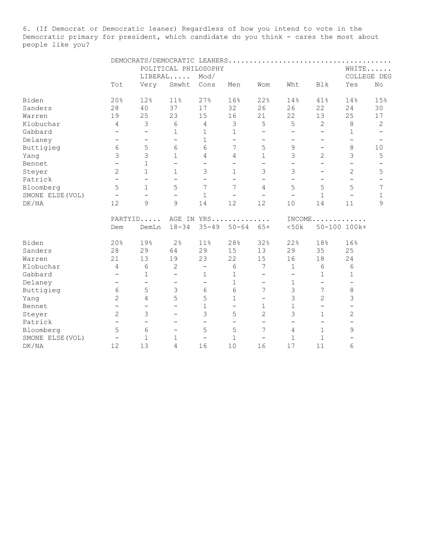6. (If Democrat or Democratic leaner) Regardless of how you intend to vote in the Democratic primary for president, which candidate do you think - cares the most about people like you?

|                  |                          |                          | POLITICAL PHILOSOPHY     |                          |                          |                          |                          |                          |                          | WHITE       |
|------------------|--------------------------|--------------------------|--------------------------|--------------------------|--------------------------|--------------------------|--------------------------|--------------------------|--------------------------|-------------|
|                  |                          |                          | LIBERAL                  | Mod/                     |                          |                          |                          |                          |                          | COLLEGE DEG |
|                  | Tot                      | Very                     | Smwht                    | Cons                     | Men                      | Wom                      | Wht                      | <b>Blk</b>               | Yes                      | No          |
| Biden            | 20%                      | 12%                      | 11%                      | 27%                      | 16%                      | 22%                      | 14%                      | 41%                      | 14%                      | 15%         |
| Sanders          | 28                       | 40                       | 37                       | 17                       | 32                       | 26                       | 26                       | 22                       | 24                       | 30          |
| Warren           | 19                       | 25                       | 23                       | 15                       | 16                       | 21                       | 22                       | 13                       | 25                       | 17          |
| Klobuchar        | $\overline{4}$           | 3                        | 6                        | $\overline{4}$           | 3                        | 5                        | 5                        | 2                        | $\,8\,$                  | 2           |
| Gabbard          | $\overline{\phantom{m}}$ | $\overline{\phantom{0}}$ | $\mathbf{1}$             | $\mathbf 1$              | $\mathbf 1$              | $\overline{\phantom{0}}$ | $\overline{\phantom{0}}$ | $\overline{\phantom{0}}$ | $\mathbf{1}$             |             |
| Delaney          | $\overline{\phantom{m}}$ | $\qquad \qquad -$        | $\qquad \qquad -$        | $\mathbf 1$              | $\overline{\phantom{0}}$ | $\overline{\phantom{0}}$ | -                        | $\overline{\phantom{0}}$ | $\overline{\phantom{m}}$ |             |
| Buttigieg        | $\epsilon$               | 5                        | 6                        | 6                        | 7                        | 5                        | 9                        | $\overline{\phantom{0}}$ | $\,8\,$                  | $10$        |
| Yang             | 3                        | 3                        | $\mathbf{1}$             | 4                        | 4                        | $\mathbf 1$              | 3                        | $\mathbf{2}$             | $\mathcal{S}$            | 5           |
| Bennet           | $\overline{\phantom{0}}$ | $\mathbf{1}$             | $\qquad \qquad -$        | $\qquad \qquad -$        | $\overline{\phantom{0}}$ | $\overline{\phantom{0}}$ | $\overline{\phantom{0}}$ | $\overline{\phantom{0}}$ |                          |             |
| Steyer           | $\overline{2}$           | $\mathbf{1}$             | 1                        | 3                        | $\mathbf 1$              | 3                        | 3                        | -                        | $\overline{2}$           | 5           |
| Patrick          | $\qquad \qquad -$        | $\overline{\phantom{0}}$ | $\overline{\phantom{0}}$ | $\qquad \qquad -$        | $\overline{\phantom{0}}$ | $\overline{\phantom{0}}$ | $\overline{\phantom{0}}$ | $\overline{\phantom{0}}$ | $\overline{\phantom{m}}$ |             |
| Bloomberg        | 5                        | $\mathbf{1}$             | 5                        | 7                        | 7                        | 4                        | 5                        | 5                        | 5                        | 7           |
| SMONE ELSE (VOL) | $\overline{\phantom{m}}$ | $\overline{\phantom{0}}$ | $\qquad \qquad -$        | $\mathbf{1}$             | $\overline{\phantom{0}}$ | $\overline{\phantom{0}}$ | $\overline{\phantom{0}}$ | $\mathbf{1}$             | $\overline{\phantom{0}}$ | 1           |
| DK/NA            | 12                       | 9                        | 9                        | 14                       | 12                       | 12                       | 10                       | 14                       | 11                       | 9           |
|                  |                          | PARTYID                  |                          | AGE IN YRS               |                          | .                        | INCOME.                  |                          | .                        |             |
|                  | Dem                      | DemLn                    | $18 - 34$                | $35 - 49$                | $50 - 64$                | $65+$                    | <50k                     |                          | 50-100 100k+             |             |
| Biden            | 20%                      | 19%                      | 2%                       | 11%                      | 28%                      | 32%                      | 22%                      | 18%                      | 16%                      |             |
| Sanders          | 28                       | 29                       | 64                       | 29                       | 15                       | 13                       | 29                       | 35                       | 25                       |             |
| Warren           | 21                       | 13                       | 19                       | 23                       | 22                       | 15                       | 16                       | 18                       | 24                       |             |
| Klobuchar        | $\overline{4}$           | 6                        | $\overline{2}$           | $\qquad \qquad -$        | 6                        | 7                        | $\mathbf{1}$             | 6                        | 6                        |             |
| Gabbard          | $\overline{\phantom{0}}$ | 1                        | $\qquad \qquad -$        | 1                        | 1                        | $\overline{\phantom{0}}$ | $\qquad \qquad -$        | 1                        | 1                        |             |
| Delaney          | $\overline{\phantom{m}}$ | $\qquad \qquad -$        | $\overline{\phantom{m}}$ | $\overline{\phantom{a}}$ | $\mathbf 1$              | $\qquad \qquad -$        | $\mathbf{1}$             | $\overline{\phantom{0}}$ | $\overline{\phantom{m}}$ |             |
| Buttigieg        | 6                        | 5                        | 3                        | 6                        | 6                        | 7                        | $\mathcal{S}$            | 7                        | 8                        |             |
| Yang             | $\overline{c}$           | 4                        | 5                        | 5                        | 1                        | $\qquad \qquad -$        | 3                        | $\mathbf{2}$             | 3                        |             |
| Bennet           | $\overline{\phantom{m}}$ | $\overline{\phantom{0}}$ | $\qquad \qquad -$        | $\mathbf{1}$             | $\overline{\phantom{0}}$ | 1                        | $\mathbf 1$              | $\overline{\phantom{m}}$ | $\overline{\phantom{0}}$ |             |
| Steyer           | $\mathbf{2}$             | 3                        | $\overline{\phantom{0}}$ | 3                        | 5                        | $\overline{c}$           | 3                        | $\mathbf 1$              | $\mathbf{2}$             |             |
| Patrick          | $\overline{\phantom{m}}$ | $\qquad \qquad -$        | $\overline{\phantom{0}}$ | $\qquad \qquad -$        | $\qquad \qquad -$        | $\qquad \qquad -$        | $\overline{\phantom{0}}$ | $\overline{\phantom{m}}$ | $\qquad \qquad -$        |             |
| Bloomberg        | 5                        | 6                        | $\overline{\phantom{0}}$ | 5                        | 5                        | 7                        | 4                        | $\mathbf 1$              | 9                        |             |
| SMONE ELSE (VOL) | $\qquad \qquad -$        | $\mathbf{1}$             | 1                        |                          | 1                        | $\overline{\phantom{0}}$ | $\mathbf 1$              | $\mathbf{1}$             | $\overline{\phantom{0}}$ |             |
| DK/NA            | 12                       | 13                       | 4                        | 16                       | 10                       | 16                       | $17$                     | 11                       | 6                        |             |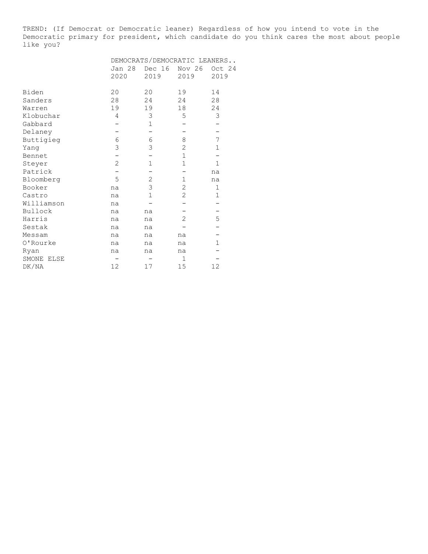TREND: (If Democrat or Democratic leaner) Regardless of how you intend to vote in the Democratic primary for president, which candidate do you think cares the most about people like you?

|            | DEMOCRATS/DEMOCRATIC LEANERS |                |                |              |  |  |  |  |  |
|------------|------------------------------|----------------|----------------|--------------|--|--|--|--|--|
|            | Jan 28                       | Dec 16         | Nov 26         | Oct 24       |  |  |  |  |  |
|            | 2020                         | 2019           | 2019           | 2019         |  |  |  |  |  |
| Biden      | 20                           | 20             | 19             | 14           |  |  |  |  |  |
| Sanders    | 28                           | 24             | 24             | 28           |  |  |  |  |  |
| Warren     | 19                           | 19             | 18             | 24           |  |  |  |  |  |
| Klobuchar  | 4                            | 3              | 5              | 3            |  |  |  |  |  |
| Gabbard    |                              | $\mathbf 1$    |                |              |  |  |  |  |  |
| Delaney    |                              |                |                |              |  |  |  |  |  |
| Buttigieg  | 6                            | 6              | 8              | 7            |  |  |  |  |  |
| Yang       | 3                            | 3              | 2              | $\mathbf 1$  |  |  |  |  |  |
| Bennet     |                              |                | $\mathbf 1$    |              |  |  |  |  |  |
| Steyer     | 2                            | $\mathbf 1$    | $\mathbf 1$    | $\mathbf{1}$ |  |  |  |  |  |
| Patrick    |                              |                |                | na           |  |  |  |  |  |
| Bloomberg  | 5                            | $\overline{2}$ | $\mathbf 1$    | na           |  |  |  |  |  |
| Booker     | na                           | 3              | $\overline{2}$ | $\mathbf 1$  |  |  |  |  |  |
| Castro     | na                           | $\mathbf 1$    | 2              | $\mathbf 1$  |  |  |  |  |  |
| Williamson | na                           |                |                |              |  |  |  |  |  |
| Bullock    | na                           | na             |                |              |  |  |  |  |  |
| Harris     | na                           | na             | 2              | 5            |  |  |  |  |  |
| Sestak     | na                           | na             |                |              |  |  |  |  |  |
| Messam     | na                           | na             | na             |              |  |  |  |  |  |
| 0'Rourke   | na                           | na             | na             | 1            |  |  |  |  |  |
| Ryan       | na                           | na             | na             |              |  |  |  |  |  |
| SMONE ELSE |                              |                | $\mathbf{1}$   |              |  |  |  |  |  |
| DK/NA      | 12                           | 17             | 15             | 12           |  |  |  |  |  |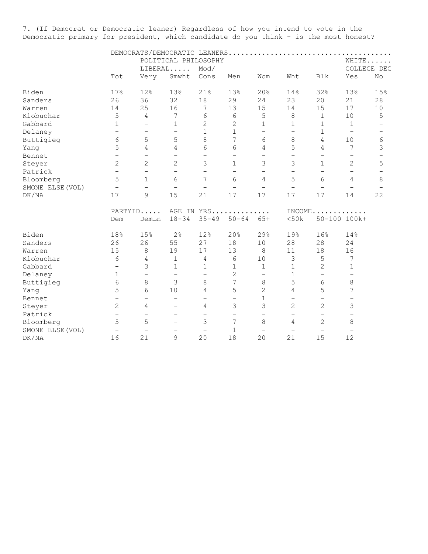7. (If Democrat or Democratic leaner) Regardless of how you intend to vote in the Democratic primary for president, which candidate do you think - is the most honest?

|                  |                          |                          |                          | POLITICAL PHILOSOPHY     |                          |                          |                          |                          |                          | WHITE                    |
|------------------|--------------------------|--------------------------|--------------------------|--------------------------|--------------------------|--------------------------|--------------------------|--------------------------|--------------------------|--------------------------|
|                  |                          |                          | LIBERAL                  | Mod/                     |                          |                          |                          |                          |                          | COLLEGE DEG              |
|                  | Tot                      | Very                     | Smwht                    | Cons                     | Men                      | Wom                      | Wht                      | Blk                      | Yes                      | No                       |
| Biden            | 17%                      | 12%                      | 13%                      | 21%                      | 13%                      | 20%                      | 14%                      | 32%                      | 13%                      | 15%                      |
| Sanders          | 26                       | 36                       | 32                       | 18                       | 29                       | 24                       | 23                       | 20                       | 21                       | 28                       |
| Warren           | 14                       | 25                       | 16                       | 7                        | 13                       | 15                       | 14                       | 15                       | 17                       | 10                       |
| Klobuchar        | 5                        | $\overline{4}$           | 7                        | 6                        | 6                        | 5                        | $\,8\,$                  | $1\,$                    | $10$                     | 5                        |
| Gabbard          | $\mathbf 1$              | $\overline{\phantom{0}}$ | 1                        | 2                        | $\overline{c}$           | $\mathbf 1$              | $\mathbf 1$              | $\mathbf{1}$             | $\mathbf 1$              |                          |
| Delaney          | $\qquad \qquad -$        | $\qquad \qquad -$        | $\overline{\phantom{0}}$ | $\mathbf 1$              | $\mathbf{1}$             | $\overline{\phantom{0}}$ | $\qquad \qquad -$        | $\mathbf 1$              | $\overline{\phantom{m}}$ | $\overline{\phantom{m}}$ |
| Buttigieg        | 6                        | 5                        | 5                        | 8                        | 7                        | 6                        | 8                        | $\overline{4}$           | 10                       | 6                        |
| Yang             | 5                        | $\overline{4}$           | 4                        | 6                        | 6                        | 4                        | 5                        | $\overline{4}$           | 7                        | 3                        |
| Bennet           | $\overline{\phantom{a}}$ | $\qquad \qquad -$        | $\qquad \qquad -$        | $\qquad \qquad -$        | $\overline{\phantom{0}}$ | $\overline{\phantom{0}}$ | $\overline{\phantom{0}}$ | $\qquad \qquad -$        | $\overline{\phantom{0}}$ |                          |
| Steyer           | 2                        | $\overline{2}$           | $\overline{2}$           | 3                        | $\mathbf{1}$             | 3                        | 3                        | $\mathbf{1}$             | $\overline{2}$           | 5                        |
| Patrick          | $\overline{\phantom{0}}$ | $\qquad \qquad -$        | $\qquad \qquad -$        | $\qquad \qquad -$        | $\overline{\phantom{0}}$ | $\overline{\phantom{m}}$ | $\overline{\phantom{0}}$ |                          | $\overline{\phantom{0}}$ |                          |
| Bloomberg        | 5                        | $\mathbf{1}$             | 6                        | 7                        | 6                        | $\overline{4}$           | 5                        | 6                        | 4                        | 8                        |
| SMONE ELSE (VOL) | $\overline{\phantom{m}}$ | $\overline{\phantom{0}}$ | $\overline{\phantom{m}}$ | $\overline{\phantom{0}}$ | $\overline{\phantom{0}}$ | $\overline{\phantom{0}}$ | $\overline{\phantom{0}}$ |                          |                          |                          |
| DK/NA            | 17                       | 9                        | 15                       | 21                       | 17                       | 17                       | 17                       | 17                       | 14                       | 22                       |
|                  | PARTYID                  |                          |                          |                          | AGE IN YRS               |                          | INCOME.                  |                          | .                        |                          |
|                  | Dem                      | DemLn                    | $18 - 34$                | $35 - 49$                | $50 - 64$                | $65+$                    | < 50k                    |                          | 50-100 100k+             |                          |
| Biden            | 18%                      | 15%                      | 2 <sup>°</sup>           | 12%                      | 20%                      | 29%                      | 19%                      | 16%                      | 14%                      |                          |
| Sanders          | 26                       | 26                       | 55                       | 27                       | 18                       | 10                       | 28                       | 28                       | 24                       |                          |
| Warren           | 15                       | 8                        | 19                       | 17                       | 13                       | 8                        | 11                       | 18                       | 16                       |                          |
| Klobuchar        | 6                        | 4                        | $\mathbf 1$              | 4                        | 6                        | 10                       | 3                        | 5                        | 7                        |                          |
| Gabbard          | $\qquad \qquad -$        | 3                        | $\mathbf 1$              | 1                        | $\mathbf 1$              | $\mathbf 1$              | $\mathbf 1$              | 2                        | 1                        |                          |
| Delaney          | 1                        | $\qquad \qquad -$        | $\overline{\phantom{0}}$ | $\overline{\phantom{0}}$ | $\overline{c}$           | $\overline{\phantom{0}}$ | $\mathbf 1$              | $\qquad \qquad -$        |                          |                          |
| Buttigieg        | 6                        | 8                        | 3                        | 8                        | 7                        | 8                        | 5                        | 6                        | 8                        |                          |
| Yang             | 5                        | 6                        | 10                       | 4                        | 5                        | $\overline{2}$           | 4                        | 5                        | 7                        |                          |
| Bennet           | $\qquad \qquad -$        | $\qquad \qquad -$        | $\qquad \qquad -$        | $\qquad \qquad -$        | $\qquad \qquad -$        | $\mathbf 1$              | $\overline{\phantom{0}}$ | $\overline{\phantom{0}}$ |                          |                          |
| Steyer           | $\overline{c}$           | 4                        |                          | 4                        | 3                        | 3                        | 2                        | $\overline{c}$           | 3                        |                          |
| Patrick          | $\overline{\phantom{0}}$ | $\overline{\phantom{0}}$ | $\qquad \qquad -$        | $\qquad \qquad -$        | $\overline{\phantom{0}}$ | $\overline{\phantom{0}}$ | $\overline{\phantom{0}}$ | $\qquad \qquad -$        | $\qquad \qquad -$        |                          |
| Bloomberg        | 5                        | 5                        | $\qquad \qquad -$        | 3                        | 7                        | 8                        | 4                        | 2                        | 8                        |                          |
| SMONE ELSE (VOL) | $\overline{\phantom{a}}$ | $\overline{\phantom{0}}$ | $\overline{\phantom{0}}$ | $\qquad \qquad -$        | $\mathbf 1$              | $\overline{\phantom{0}}$ | $\overline{\phantom{0}}$ | $\overline{\phantom{0}}$ |                          |                          |
| DK/NA            | 16                       | 21                       | 9                        | 20                       | 18                       | 20                       | 21                       | 15                       | 12                       |                          |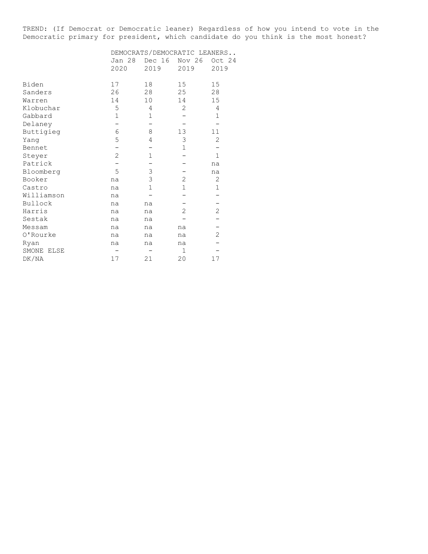TREND: (If Democrat or Democratic leaner) Regardless of how you intend to vote in the Democratic primary for president, which candidate do you think is the most honest?

|            | DEMOCRATS/DEMOCRATIC LEANERS |                |                |                |  |  |  |  |  |
|------------|------------------------------|----------------|----------------|----------------|--|--|--|--|--|
|            | Jan 28<br>2020               | Dec 16<br>2019 | Nov 26<br>2019 | Oct 24<br>2019 |  |  |  |  |  |
|            |                              |                |                |                |  |  |  |  |  |
| Biden      | 17                           | 18             | 15             | 15             |  |  |  |  |  |
| Sanders    | 26                           | 28             | 25             | 28             |  |  |  |  |  |
| Warren     | 14                           | 10             | 14             | 15             |  |  |  |  |  |
| Klobuchar  | 5                            | 4              | 2              | 4              |  |  |  |  |  |
| Gabbard    | 1                            | 1              |                | 1              |  |  |  |  |  |
| Delaney    |                              |                |                |                |  |  |  |  |  |
| Buttigieg  | 6                            | 8              | 13             | 11             |  |  |  |  |  |
| Yang       | 5                            | 4              | 3              | $\overline{2}$ |  |  |  |  |  |
| Bennet     |                              |                | 1              |                |  |  |  |  |  |
| Steyer     | $\overline{2}$               | 1              |                | $\mathbf{1}$   |  |  |  |  |  |
| Patrick    |                              |                |                | na             |  |  |  |  |  |
| Bloomberg  | 5                            | 3              |                | na             |  |  |  |  |  |
| Booker     | na                           | 3              | $\overline{2}$ | $\overline{2}$ |  |  |  |  |  |
| Castro     | na                           | $\mathbf 1$    | 1              | $\mathbf 1$    |  |  |  |  |  |
| Williamson | na                           |                |                |                |  |  |  |  |  |
| Bullock    | na                           | na             |                |                |  |  |  |  |  |
| Harris     | na                           | na             | 2              | 2              |  |  |  |  |  |
| Sestak     | na                           | na             |                |                |  |  |  |  |  |
| Messam     | na                           | na             | na             |                |  |  |  |  |  |
| 0'Rourke   | na                           | na             | na             | 2              |  |  |  |  |  |
| Ryan       | na                           | na             | na             |                |  |  |  |  |  |
| SMONE ELSE |                              |                | $\mathbf{1}$   |                |  |  |  |  |  |
| DK/NA      | 17                           | 21             | 20             | 17             |  |  |  |  |  |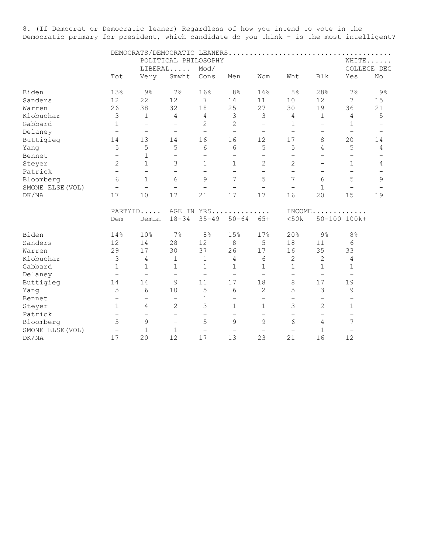8. (If Democrat or Democratic leaner) Regardless of how you intend to vote in the Democratic primary for president, which candidate do you think - is the most intelligent?

|                  |                          |                          | POLITICAL PHILOSOPHY     |                          |                          |                          |                          |                          |                          | WHITE          |
|------------------|--------------------------|--------------------------|--------------------------|--------------------------|--------------------------|--------------------------|--------------------------|--------------------------|--------------------------|----------------|
|                  |                          |                          | LIBERAL                  | Mod/                     |                          |                          |                          |                          |                          | COLLEGE DEG    |
|                  | Tot                      | Very                     | Smwht                    | Cons                     | Men                      | Wom                      | Wht                      | Blk                      | Yes                      | No             |
| Biden            | 13%                      | $9\frac{6}{6}$           | 7%                       | 16%                      | 8%                       | 16%                      | 8 <sup>°</sup>           | 28%                      | 7%                       | $9\frac{6}{6}$ |
| Sanders          | 12                       | 22                       | 12                       | 7                        | 14                       | 11                       | 10                       | 12                       | $7\overline{ }$          | 15             |
| Warren           | 26                       | 38                       | 32                       | 18                       | 25                       | 27                       | 30                       | 19                       | 36                       | 21             |
| Klobuchar        | $\mathfrak{Z}$           | $\mathbf{1}$             | 4                        | $\overline{4}$           | 3                        | 3                        | $\overline{4}$           | $\mathbf 1$              | $\overline{4}$           | 5              |
| Gabbard          | $\mathbf 1$              | $\overline{\phantom{0}}$ | $\qquad \qquad -$        | $\overline{c}$           | $\overline{c}$           | $\overline{\phantom{0}}$ | 1                        | $\qquad \qquad -$        | 1                        |                |
| Delaney          | $\overline{\phantom{m}}$ | $\overline{\phantom{m}}$ | $\overline{\phantom{m}}$ | $\overline{\phantom{0}}$ | $\overline{\phantom{a}}$ | $\qquad \qquad -$        | $\qquad \qquad -$        | $\overline{\phantom{0}}$ | $\overline{\phantom{m}}$ |                |
| Buttigieg        | 14                       | 13                       | 14                       | 16                       | 16                       | 12                       | 17                       | 8                        | 20                       | 14             |
| Yang             | 5                        | 5                        | 5                        | 6                        | 6                        | 5                        | 5                        | 4                        | 5                        | 4              |
| Bennet           | $\overline{\phantom{0}}$ | $\mathbf{1}$             | $\qquad \qquad -$        | $\qquad \qquad -$        | $\qquad \qquad -$        | $\qquad \qquad -$        | $\qquad \qquad -$        | $\overline{\phantom{0}}$ | $\overline{\phantom{0}}$ |                |
| Steyer           | 2                        | $\mathbf{1}$             | 3                        | $\mathbf{1}$             | $\mathbf{1}$             | $\overline{2}$           | $\overline{2}$           |                          | $\mathbf{1}$             | 4              |
| Patrick          | $\equiv$                 | $\overline{\phantom{0}}$ | $\overline{\phantom{0}}$ | $\overline{\phantom{0}}$ | $\overline{\phantom{0}}$ | $\overline{\phantom{0}}$ | $\overline{\phantom{0}}$ | $\overline{\phantom{0}}$ | $\overline{\phantom{0}}$ |                |
| Bloomberg        | 6                        | $\mathbf{1}$             | 6                        | 9                        | 7                        | 5                        | 7                        | 6                        | 5                        | 9              |
| SMONE ELSE (VOL) | $\overline{\phantom{m}}$ | $\overline{\phantom{0}}$ | $\overline{\phantom{0}}$ | $\overline{\phantom{0}}$ | $\overline{\phantom{0}}$ | $\overline{\phantom{0}}$ | $\overline{\phantom{0}}$ | $\mathbf{1}$             | $\overline{\phantom{0}}$ |                |
| DK/NA            | 17                       | 10                       | 17                       | 21                       | 17                       | 17                       | 16                       | 20                       | 15                       | 19             |
|                  | PARTYID                  |                          |                          |                          | AGE IN YRS               |                          |                          |                          | $INCOME$                 |                |
|                  | Dem                      | DemLn                    | $18 - 34$                | $35 - 49$                | $50 - 64$                | $65+$                    | <50k                     |                          | 50-100 100k+             |                |
| Biden            | 14%                      | 10%                      | $7\%$                    | 8 <sup>°</sup>           | 15%                      | 17%                      | 20%                      | $9\%$                    | 8 <sup>°</sup>           |                |
| Sanders          | 12                       | 14                       | 28                       | 12                       | $\,8\,$                  | 5                        | 18                       | 11                       | 6                        |                |
| Warren           | 29                       | 17                       | 30                       | 37                       | 26                       | 17                       | 16                       | 35                       | 33                       |                |
| Klobuchar        | 3                        | 4                        | $\mathbf{1}$             | $\mathbf 1$              | 4                        | 6                        | $\overline{2}$           | 2                        | $\overline{4}$           |                |
| Gabbard          | $\mathbf 1$              | $\mathbf 1$              | 1                        | 1                        | 1                        | 1                        | 1                        | 1                        | 1                        |                |
| Delaney          | $\overline{\phantom{a}}$ | $\overline{\phantom{a}}$ | $\qquad \qquad -$        | $\overline{\phantom{0}}$ | $\overline{\phantom{0}}$ | $\overline{\phantom{0}}$ | $\overline{\phantom{0}}$ | $\overline{\phantom{m}}$ | $\overline{\phantom{0}}$ |                |
| Buttigieg        | 14                       | 14                       | 9                        | 11                       | 17                       | 18                       | 8                        | 17                       | 19                       |                |
| Yang             | 5                        | 6                        | 10                       | 5                        | 6                        | $\overline{2}$           | 5                        | 3                        | 9                        |                |
| Bennet           | $\overline{\phantom{0}}$ | $\qquad \qquad -$        | $\qquad \qquad -$        | 1                        | $\qquad \qquad -$        | $\qquad \qquad -$        | $\overline{\phantom{0}}$ | $\overline{\phantom{0}}$ | $\overline{\phantom{0}}$ |                |
| Steyer           | $1\,$                    | $\overline{4}$           | 2                        | 3                        | $\mathbf 1$              | 1                        | 3                        | 2                        | $\mathbf 1$              |                |
| Patrick          | $\overline{\phantom{m}}$ | $\overline{\phantom{0}}$ | $\overline{\phantom{0}}$ | $\overline{\phantom{0}}$ | $\overline{\phantom{0}}$ | $\overline{\phantom{0}}$ | $\overline{\phantom{0}}$ | $\qquad \qquad -$        | $\qquad \qquad -$        |                |
| Bloomberg        | 5                        | $\overline{9}$           | $\overline{\phantom{0}}$ | 5                        | 9                        | 9                        | 6                        | 4                        | 7                        |                |
| SMONE ELSE (VOL) | $\qquad \qquad -$        | $\mathbf{1}$             | $\mathbf 1$              | $\qquad \qquad -$        |                          | $\overline{\phantom{0}}$ | $\overline{\phantom{0}}$ | 1                        |                          |                |
| DK/NA            | 17                       | 20                       | 12                       | 17                       | 13                       | 23                       | 21                       | 16                       | 12                       |                |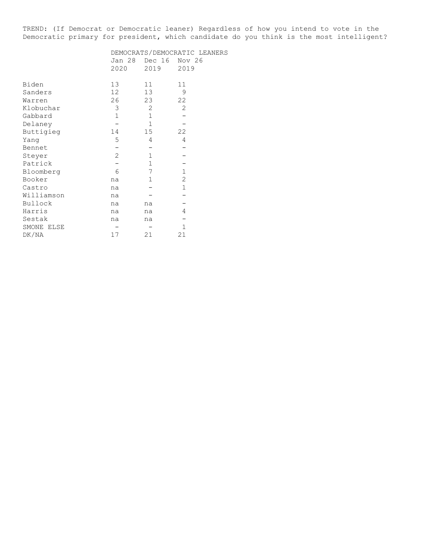TREND: (If Democrat or Democratic leaner) Regardless of how you intend to vote in the Democratic primary for president, which candidate do you think is the most intelligent?

|            |                 | DEMOCRATS/DEMOCRATIC LEANERS |              |
|------------|-----------------|------------------------------|--------------|
|            | Jan 28          | Dec 16                       | Nov 26       |
|            | 2020            | 2019                         | 2019         |
| Biden      | 13 <sup>°</sup> | 11                           | 11           |
| Sanders    | 12 <sup>7</sup> | 13                           | 9            |
| Warren     | 26              | 23                           | 22           |
| Klobuchar  | 3               | 2                            | 2            |
| Gabbard    | $1\,$           | $\mathbf 1$                  |              |
| Delaney    |                 | $\mathbf{1}$                 |              |
| Buttigieg  | 14              | 15                           | 22           |
| Yang       | 5               | 4                            | 4            |
| Bennet     |                 |                              |              |
| Steyer     | $\overline{c}$  | $\mathbf{1}$                 |              |
| Patrick    |                 | $\mathbf 1$                  |              |
| Bloomberg  | 6               | 7                            | $\mathbf 1$  |
| Booker     | na              | $\mathbf 1$                  | $\mathbf{2}$ |
| Castro     | na              |                              | 1            |
| Williamson | na              |                              |              |
| Bullock    | na              | na                           |              |
| Harris     | na              | na                           | 4            |
| Sestak     | na              | na                           |              |
| SMONE ELSE |                 |                              | $\mathbf{1}$ |
| DK/NA      | 17              | 21                           | 21           |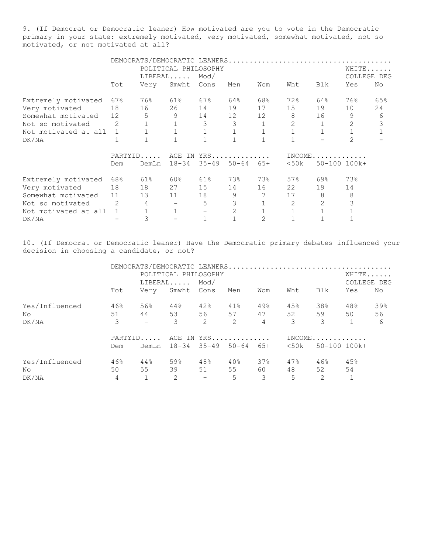9. (If Democrat or Democratic leaner) How motivated are you to vote in the Democratic primary in your state: extremely motivated, very motivated, somewhat motivated, not so motivated, or not motivated at all?

|                        |       | DEMOCRATS/DEMOCRATIC LEANERS |                      |                    |                |              |              |              |                |              |
|------------------------|-------|------------------------------|----------------------|--------------------|----------------|--------------|--------------|--------------|----------------|--------------|
|                        |       |                              | POLITICAL PHILOSOPHY |                    |                |              |              |              |                | WHITE        |
|                        |       |                              | LIBERAL              | Mod/               |                |              |              |              | COLLEGE        | DEG          |
|                        | Tot   | Very                         | Smwht                | Cons               | Men            | Wom          | Wht          | Blk          | Yes            | No           |
| Extremely motivated    | 67%   | 76%                          | 61%                  | 67%                | 64%            | 68%          | 72%          | 64%          | 76%            | 65%          |
| Very motivated         | 18    | 16                           | 26                   | 14                 | 19             | 17           | 15           | 19           | 10             | 24           |
| Somewhat motivated 12  |       | 5                            | 9                    |                    | 14 12 12       |              | 8            | 16           | 9              | 6            |
| Not so motivated       | 2     | 1                            | $\mathbf{1}$         | 3                  | 3              |              | 2            | $\mathbf{1}$ | 2              | 3            |
| Not motivated at all 1 |       |                              | $\mathbf{1}$         | $\mathbf{1}$       | $\mathbf 1$    | $\mathbf{1}$ | $\mathbf{1}$ | $\mathbf{1}$ | $\mathbf{1}$   | $\mathbf{1}$ |
| DK/NA                  | 1     |                              |                      | $\mathbf{1}$       | $\mathbf{1}$   |              | $\mathbf{1}$ |              | $\mathfrak{D}$ |              |
|                        |       |                              |                      | PARTYID AGE IN YRS |                |              | $INCOME$     |              |                |              |
|                        | Dem   | DemLn                        | 18-34                | $35 - 49$          | $50 - 64$      | 65+          | <50k         |              | 50-100 100k+   |              |
| Extremely motivated    | 68%   | 61%                          | 60%                  | 61%                | 73%            | 73%          | 57%          | 69%          | 73%            |              |
| Very motivated         | 18    | 18                           | 27                   | 15                 | 14             |              | 22           | 19           | 14             |              |
| Somewhat motivated     | 11 13 |                              | 11 - 1               | 18                 | 9              | 7            | 17           | 8            | 8              |              |
| Not so motivated 2     |       | $\overline{4}$               |                      | 5                  | 3              |              | 2            | 2            | 3              |              |
| Not motivated at all 1 |       |                              | $\mathbf{1}$         |                    | $\overline{2}$ |              |              |              |                |              |
| DK/NA                  |       | 3                            |                      | $\mathbf{1}$       |                | 2            |              |              |                |              |

10. (If Democrat or Democratic leaner) Have the Democratic primary debates influenced your decision in choosing a candidate, or not?

|                |     | DEMOCRATS/DEMOCRATIC LEANERS |                             |                          |     |                |               |                     |       |             |
|----------------|-----|------------------------------|-----------------------------|--------------------------|-----|----------------|---------------|---------------------|-------|-------------|
|                |     |                              | POLITICAL PHILOSOPHY        |                          |     |                |               |                     | WHITE |             |
|                |     |                              |                             | $LIBERAL$ Mod/           |     |                |               |                     |       | COLLEGE DEG |
|                | Tot | Very                         |                             | Smwht Cons               | Men | Wom            | Wht           | Blk                 | Yes   | No          |
| Yes/Influenced | 46% | 56%                          | $44\,$ $^{\circ}\,$         | 42%                      | 41% | 49%            | 45%           | 38%                 | 48%   | 39%         |
| No.            | 51  | 44                           | 53                          | 56 10                    |     | 57 47          | 52            | 59                  | 50    | 56          |
| DK/NA          | 3   | $\sim$                       | 3                           | 2                        | 2   | $\overline{4}$ | $\mathcal{S}$ | 3                   |       | 6           |
|                |     |                              | PARTYID AGE IN YRS          |                          |     |                | $INCOME$      |                     |       |             |
|                | Dem |                              | DemLn 18-34 35-49 50-64 65+ |                          |     |                |               | $<50k$ 50-100 100k+ |       |             |
| Yes/Influenced | 46% | 44%                          | 59%                         | 48%                      | 40% | 37%            | 47%           | 46%                 | 45%   |             |
| No.            | 50  | 55                           | 39                          | 51                       | 55  | 60             | 48            | 52                  | 54    |             |
| DK/NA          | 4   |                              | $\mathcal{L}$               | $\overline{\phantom{a}}$ | 5   | $\mathcal{E}$  | 5             | $\mathcal{L}$       |       |             |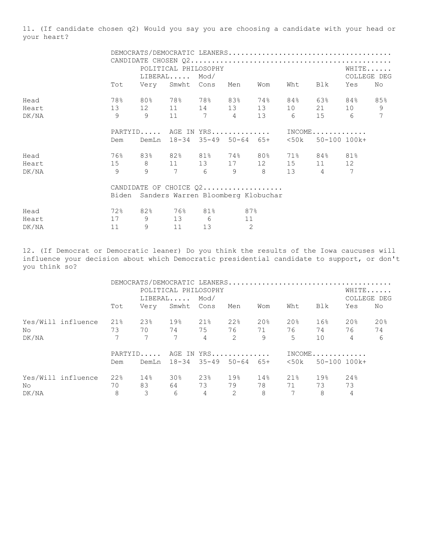11. (If candidate chosen q2) Would you say you are choosing a candidate with your head or your heart?

|       |                            |                                                 | POLITICAL PHILOSOPHY          |    |     |         |     | WHITE         |
|-------|----------------------------|-------------------------------------------------|-------------------------------|----|-----|---------|-----|---------------|
|       |                            |                                                 | $\mathtt{LIBERAL} \dots$ Mod/ |    |     |         |     | COLLEGE DEG   |
|       | Tot                        | Very Smwht Cons Men                             |                               |    | Wom | Wht Blk | Yes | No            |
| Head  |                            | $78\%$ 80% 78% 78% 83% 74% 84% 63% 84%          |                               |    |     |         |     | 85%           |
| Heart | 13 12 11 14 13 13 10 21 10 |                                                 |                               |    |     |         |     | $\mathcal{G}$ |
| DK/NA |                            | 9 9 11 7 4 13 6 15 6                            |                               |    |     |         |     | 7             |
|       |                            | PARTYID AGE IN YRS INCOME                       |                               |    |     |         |     |               |
|       | Dem                        | DemLn 18-34 35-49 50-64 65+  <50k  50-100 100k+ |                               |    |     |         |     |               |
| Head  |                            | 76% 83% 82% 81% 74% 80% 71% 84% 81%             |                               |    |     |         |     |               |
| Heart |                            | 15 8 11 13 17 12 15 11 12                       |                               |    |     |         |     |               |
| DK/NA |                            | 9 9 7 6 9 8 13 4 7                              |                               |    |     |         |     |               |
|       |                            | CANDIDATE OF CHOICE Q2                          |                               |    |     |         |     |               |
|       |                            | Biden Sanders Warren Bloomberg Klobuchar        |                               |    |     |         |     |               |
| Head  |                            | 72% 82% 76% 81% 87%                             |                               |    |     |         |     |               |
| Heart |                            | 17 9 13 6                                       |                               | 11 |     |         |     |               |

12. (If Democrat or Democratic leaner) Do you think the results of the Iowa caucuses will influence your decision about which Democratic presidential candidate to support, or don't you think so?

DK/NA 11 9 11 13 2

|       |                    |                 |                 |                             |                |                           |     |                | DEMOCRATS/DEMOCRATIC LEANERS |             |     |  |
|-------|--------------------|-----------------|-----------------|-----------------------------|----------------|---------------------------|-----|----------------|------------------------------|-------------|-----|--|
|       |                    |                 |                 | POLITICAL PHILOSOPHY        |                |                           |     |                |                              | WHITE       |     |  |
|       |                    |                 |                 | $LIBERAL$ Mod/              |                |                           |     |                |                              | COLLEGE DEG |     |  |
|       |                    | Tot             |                 | Very Smwht Cons             |                | Men                       | Wom | Wht            | Blk                          | Yes         | No  |  |
|       | Yes/Will influence | 21%             | 23%             | 19%                         | 21%            | 22%                       | 20% | 20%            | 16%                          | 20%         | 20% |  |
| No.   |                    | 73              | 70              |                             | 74 75          | 76 71                     |     |                | 76 74                        | 76          | 74  |  |
| DK/NA |                    | $7\overline{ }$ | $7\overline{ }$ | $7\overline{ }$             | $\overline{4}$ | 2                         | - 9 | 5 <sup>1</sup> | 10                           | 4           | 6   |  |
|       |                    |                 |                 |                             |                | PARTYID AGE IN YRS INCOME |     |                |                              |             |     |  |
|       |                    | Dem             |                 | DemLn 18-34 35-49 50-64 65+ |                |                           |     |                | $<50k$ 50-100 100k+          |             |     |  |
|       | Yes/Will influence | 22%             | 14%             | 30 <sub>8</sub>             | 23%            | 19%                       | 14% | 21%            | 19%                          | 24%         |     |  |
| No.   |                    | 70              | 83              |                             | 73             | 79                        | 78  | 71             | 73                           | 73          |     |  |
| DK/NA |                    | 8               | 3               | 6                           | $\overline{4}$ | $\overline{2}$            | -8  | 7              | 8                            | 4           |     |  |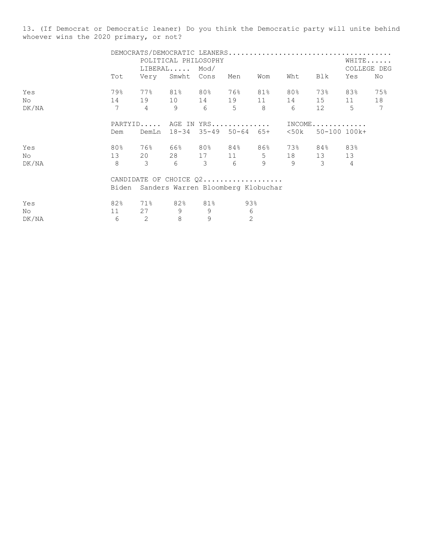13. (If Democrat or Democratic leaner) Do you think the Democratic party will unite behind whoever wins the 2020 primary, or not?

|       |     |                                          | POLITICAL PHILOSOPHY |                 |     |     |                                               | WHITE |                 |  |
|-------|-----|------------------------------------------|----------------------|-----------------|-----|-----|-----------------------------------------------|-------|-----------------|--|
|       |     |                                          | $LIBERAL$ $Mod/$     |                 |     |     |                                               |       | COLLEGE DEG     |  |
|       | Tot | Very Smwht Cons Men                      |                      |                 | Wom | Wht | Blk                                           | Yes   | No              |  |
| Yes   |     |                                          |                      |                 |     |     | 79% 77% 81% 80% 76% 81% 80% 73% 83% 75%       |       |                 |  |
| No    |     |                                          |                      |                 |     |     | 14 19 10 14 19 11 14 15 11 18                 |       |                 |  |
| DK/NA |     |                                          |                      |                 |     |     | 7 4 9 6 5 8 6 12 5                            |       | $7\overline{ }$ |  |
|       |     | PARTYID AGE IN YRS INCOME                |                      |                 |     |     |                                               |       |                 |  |
|       | Dem |                                          |                      |                 |     |     | DemLn 18-34 35-49 50-64 65+ <50k 50-100-100k+ |       |                 |  |
| Yes   | 80% |                                          |                      |                 |     |     | $76\%$ 66% 80% 84% 86% 73% 84% 83%            |       |                 |  |
| No.   |     |                                          |                      |                 |     |     | 13 20 28 17 11 5 18 13 13                     |       |                 |  |
| DK/NA |     |                                          |                      |                 |     |     | 8 3 6 3 6 9 9 3 4                             |       |                 |  |
|       |     | CANDIDATE OF CHOICE Q2                   |                      |                 |     |     |                                               |       |                 |  |
|       |     | Biden Sanders Warren Bloomberg Klobuchar |                      |                 |     |     |                                               |       |                 |  |
| Yes   |     | 82% 71% 82% 81% 93%                      |                      |                 |     |     |                                               |       |                 |  |
| No    | 11  |                                          | 27 9 9               | $6\overline{6}$ |     |     |                                               |       |                 |  |

DK/NA 6 2 8 9 2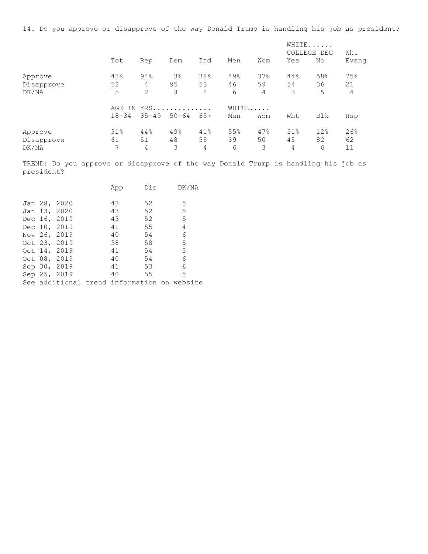14. Do you approve or disapprove of the way Donald Trump is handling his job as president?

|                       |           |           |                |           |           |           | WHITE<br>COLLEGE DEG |           | Wht       |
|-----------------------|-----------|-----------|----------------|-----------|-----------|-----------|----------------------|-----------|-----------|
|                       | Tot       | Rep       | Dem            | Ind       | Men       | Wom       | Yes                  | No        | Evang     |
| Approve               | 43%       | 94%       | 3 <sup>°</sup> | 38%       | 49%       | 37%       | 44%                  | 58%       | 75%       |
| Disapprove            | 52        | 4         | 95             | 53        | 46        | 59        | 54                   | 36        | 21        |
| DK/NA                 | 5         | 2         | 3              | 8         | 6         | 4         | 3                    | 5         | 4         |
|                       | TN<br>AGE |           | YRS            |           | WHITE     |           |                      |           |           |
|                       | $18 - 34$ | $35 - 49$ | $50 - 64$      | $65+$     | Men       | Wom       | Wht                  | Blk       | Hsp       |
| Approve<br>Disapprove | 31%<br>61 | 44%<br>51 | 49%<br>48      | 41%<br>55 | 55%<br>39 | 47%<br>50 | 51%<br>45            | 12%<br>82 | 26%<br>62 |
| DK/NA                 | 7         | 4         | 3              | 4         | 6         | 3         | 4                    | 6         | 11        |

TREND: Do you approve or disapprove of the way Donald Trump is handling his job as president?

|  |                                                                                                                                                              | App |    |    | DK/NA                                              |
|--|--------------------------------------------------------------------------------------------------------------------------------------------------------------|-----|----|----|----------------------------------------------------|
|  |                                                                                                                                                              |     |    |    |                                                    |
|  |                                                                                                                                                              | 43  | 52 |    | 5                                                  |
|  |                                                                                                                                                              | 43  | 52 |    | 5                                                  |
|  |                                                                                                                                                              | 43  | 52 |    | 5                                                  |
|  |                                                                                                                                                              | 41  | 55 |    | 4                                                  |
|  |                                                                                                                                                              | 40  | 54 |    | 6                                                  |
|  |                                                                                                                                                              | 38  | 58 |    | 5                                                  |
|  |                                                                                                                                                              | 41  | 54 |    | 5                                                  |
|  |                                                                                                                                                              | 40  | 54 |    | 6                                                  |
|  |                                                                                                                                                              | 41  | 53 |    | 6                                                  |
|  |                                                                                                                                                              | 40  |    |    | 5                                                  |
|  |                                                                                                                                                              |     |    |    |                                                    |
|  | Jan 28, 2020<br>Jan 13, 2020<br>Dec 16, 2019<br>Dec 10, 2019<br>Nov 26, 2019<br>Oct 23, 2019<br>Oct 14, 2019<br>Oct 08, 2019<br>Sep 30, 2019<br>Sep 25, 2019 |     |    | 55 | Dis<br>See additional trend information on website |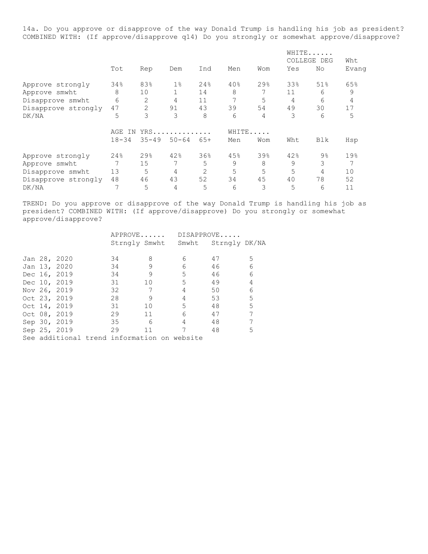14a. Do you approve or disapprove of the way Donald Trump is handling his job as president? COMBINED WITH: (If approve/disapprove q14) Do you strongly or somewhat approve/disapprove?

|                     |                    |           |           |                |       |     | WHITE<br>COLLEGE DEG |                | Wht   |  |
|---------------------|--------------------|-----------|-----------|----------------|-------|-----|----------------------|----------------|-------|--|
|                     | Tot                | Rep       | Dem       | Ind            | Men   | Wom | Yes                  | No             | Evang |  |
| Approve strongly    | 34%                | 83%       | $1\%$     | 24%            | 40%   | 29% | 33%                  | 51%            | 65%   |  |
| Approve smwht       | 8                  | 10        | 1         | 14             | 8     | 7   | 11                   | 6              | 9     |  |
| Disapprove smwht    | 6                  | 2         | 4         | 11             | 7     | 5   | 4                    | 6              | 4     |  |
| Disapprove strongly | 47                 | 2         | 91        | 43             | 39    | 54  | 49                   | 30             | 17    |  |
| DK/NA               | 5                  | 3         | 3         | 8              | 6     | 4   | 3                    | 6              | 5     |  |
|                     | $YRS$<br>AGE<br>ΙN |           |           |                | WHITE |     |                      |                |       |  |
|                     | $18 - 34$          | $35 - 49$ | $50 - 64$ | $65+$          | Men   | Wom | Wht                  | <b>Blk</b>     | Hsp   |  |
| Approve strongly    | 24%                | 29%       | 42%       | 36%            | 45%   | 39% | 42%                  | $9\frac{6}{6}$ | 19%   |  |
| Approve smwht       |                    | 15        | 7         | 5              | 9     | 8   | 9                    | 3              |       |  |
| Disapprove smwht    | 13                 | 5         | 4         | $\overline{2}$ | 5     | 5   | 5                    | 4              | 10    |  |
| Disapprove strongly | 48                 | 46        | 43        | 52             | 34    | 45  | 40                   | 78             | 52    |  |
| DK/NA               | 7                  | 5         | 4         | 5              | 6     | 3   | 5                    | 6              | 11    |  |

TREND: Do you approve or disapprove of the way Donald Trump is handling his job as president? COMBINED WITH: (If approve/disapprove) Do you strongly or somewhat approve/disapprove?

|  |              | APPROVE DISAPPROVE |                 |                                             |    |                |
|--|--------------|--------------------|-----------------|---------------------------------------------|----|----------------|
|  |              |                    |                 | Strngly Smwht Smwht Strngly DK/NA           |    |                |
|  |              |                    |                 |                                             |    |                |
|  | Jan 28, 2020 | 34                 | 8               | 6                                           | 47 | 5              |
|  | Jan 13, 2020 | 34                 | 9               | 6                                           | 46 | 6              |
|  | Dec 16, 2019 | 34                 | 9               | 5                                           | 46 | 6              |
|  | Dec 10, 2019 | 31                 | 10 <sup>°</sup> | $5 -$                                       | 49 | $\overline{4}$ |
|  | Nov 26, 2019 | 32                 | $\overline{7}$  | 4                                           | 50 | 6              |
|  | Oct 23, 2019 | 28                 | 9               | 4                                           | 53 | 5              |
|  | Oct 14, 2019 | 31                 | 10              | $5 -$                                       | 48 | 5              |
|  | Oct 08, 2019 | 29                 | 11              | 6                                           | 47 | 7              |
|  | Sep 30, 2019 | 35                 | - 6             | 4                                           | 48 | 7              |
|  | Sep 25, 2019 | 29                 | 11              | 7                                           | 48 | 5              |
|  |              |                    |                 | See additional trend information on website |    |                |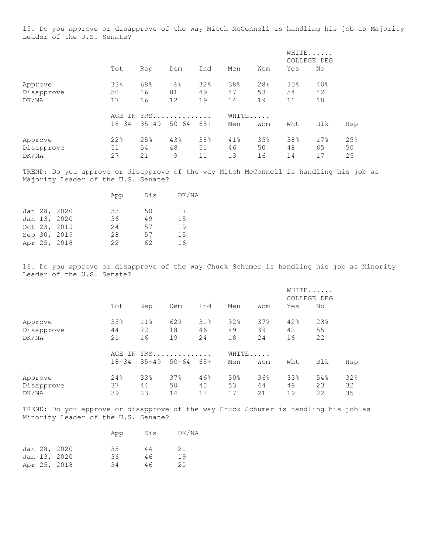15. Do you approve or disapprove of the way Mitch McConnell is handling his job as Majority Leader of the U.S. Senate?

|            |           |            |           |     |     |       |     | WHITE<br>COLLEGE DEG |     |
|------------|-----------|------------|-----------|-----|-----|-------|-----|----------------------|-----|
|            | Tot       | Rep        | Dem       | Ind | Men | Wom   | Yes | No                   |     |
| Approve    | 33%       | 68%        | 6%        | 32% | 38% | 28%   | 35% | 40%                  |     |
| Disapprove | 50        | 16         | 81        | 49  | 47  | 53    | 54  | 42                   |     |
| DK/NA      | 17        | 16         | 12        | 19  | 14  | 19    | 11  | 18                   |     |
|            |           | AGE IN YRS |           |     |     | WHITE |     |                      |     |
|            | $18 - 34$ | $35 - 49$  | $50 - 64$ | 65+ | Men | Wom   | Wht | Blk                  | Hsp |
| Approve    | 22%       | 25%        | 43%       | 38% | 41% | 35%   | 38% | 17%                  | 25% |
| Disapprove | 51        | 54         | 48        | 51  | 46  | 50    | 48  | 65                   | 50  |
| DK/NA      | 27        | 21         | 9         | 11  | 13  | 16    | 14  | 17                   | 25  |

TREND: Do you approve or disapprove of the way Mitch McConnell is handling his job as Majority Leader of the U.S. Senate?

|  | App                                                                          | Dis | DK/NA |
|--|------------------------------------------------------------------------------|-----|-------|
|  | 33                                                                           | 50  | 17    |
|  | 36                                                                           | 49  | 15    |
|  | 24                                                                           | 57  | 19    |
|  | 28                                                                           | 57  | 15    |
|  | 22                                                                           | 62  | 16    |
|  | Jan 28, 2020<br>Jan 13, 2020<br>Oct 23, 2019<br>Sep 30, 2019<br>Apr 25, 2018 |     |       |

16. Do you approve or disapprove of the way Chuck Schumer is handling his job as Minority Leader of the U.S. Senate?

|            |           |           |           |       |       |     | WHITE<br>COLLEGE DEG |     |     |
|------------|-----------|-----------|-----------|-------|-------|-----|----------------------|-----|-----|
|            | Tot       | Rep       | Dem       | Ind   | Men   | Wom | Yes                  | No  |     |
| Approve    | 35%       | $11\%$    | 62%       | 31%   | 32%   | 37% | 42%                  | 23% |     |
| Disapprove | 44        | 72        | 18        | 46    | 49    | 39  | 42                   | 55  |     |
| DK/NA      | 21        | 16        | 19        | 24    | 18    | 24  | 16                   | 22  |     |
|            | AGE IN    |           | YRS       |       | WHITE |     |                      |     |     |
|            | $18 - 34$ | $35 - 49$ | $50 - 64$ | $65+$ | Men   | Wom | Wht                  | Blk | Hsp |
| Approve    | 24%       | 33%       | 37%       | 46%   | 30%   | 36% | 33%                  | 54% | 32% |
| Disapprove | 37        | 44        | 50        | 40    | 53    | 44  | 48                   | 23  | 32  |
| DK/NA      | 39        | 23        | 14        | 13    | 17    | 21  | 19                   | 22  | 35  |

TREND: Do you approve or disapprove of the way Chuck Schumer is handling his job as Minority Leader of the U.S. Senate?

|  |              | App | Dis | DK/NA |
|--|--------------|-----|-----|-------|
|  | Jan 28, 2020 | 35  | 44  | 21    |
|  | Jan 13, 2020 | 36  | 46  | 19    |
|  | Apr 25, 2018 | 34  | 46  | 20    |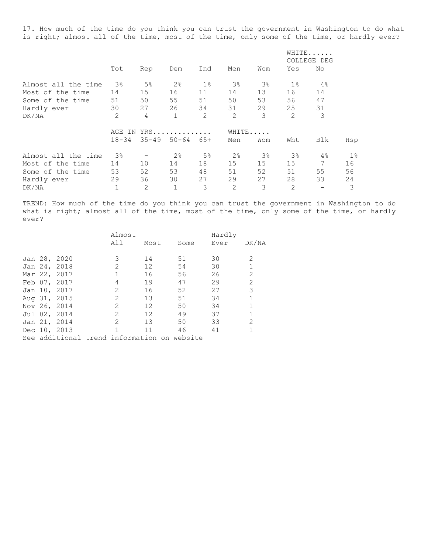17. How much of the time do you think you can trust the government in Washington to do what is right; almost all of the time, most of the time, only some of the time, or hardly ever?

|                     |                 |                |                |       |                |       |       | WHITE<br>COLLEGE DEG |       |
|---------------------|-----------------|----------------|----------------|-------|----------------|-------|-------|----------------------|-------|
|                     | Tot             | Rep            | Dem            | Ind   | Men            | Wom   | Yes   | No                   |       |
| Almost all the time | 3%              | 5%             | 2 <sup>°</sup> | $1\,$ | 3%             | 3%    | $1\%$ | 4%                   |       |
| Most of the time    | 14              | 15             | 16             | 11    | 14             | 13    | 16    | 14                   |       |
| Some of the time    | 51              | 50             | 55             | 51    | 50             | 53    | 56    | 47                   |       |
| Hardly ever         | 30              | 27             | 26             | 34    | 31             | 29    | 25    | 31                   |       |
| DK/NA               | $\overline{2}$  | $\overline{4}$ | $\mathbf 1$    | 2     | 2              | 3     | 2     | 3                    |       |
|                     | $YRS$<br>AGE IN |                |                |       | WHITE          |       |       |                      |       |
|                     | $18 - 34$       | 35-49          | $50 - 64$      | $65+$ | Men            | Wom   | Wht   | Blk                  | Hsp   |
| Almost all the time | $3\%$           |                | 2 <sup>°</sup> | $5\%$ | 2 <sup>°</sup> | $3\,$ | 3%    | 4%                   | $1\%$ |
| Most of the time    | 14              | 10             | 14             | 18    | 15             | 15    | 15    | 7                    | 16    |
| Some of the time    | 53              | 52             | 53             | 48    | 51             | 52    | 51    | 55                   | 56    |
| Hardly ever         | 29              | 36             | 30             | 27    | 29             | 27    | 28    | 33                   | 24    |
| DK/NA               | 1               | 2              | $\mathbf{1}$   | 3     | 2              | 3     | 2     |                      | 3     |

TREND: How much of the time do you think you can trust the government in Washington to do what is right; almost all of the time, most of the time, only some of the time, or hardly ever?

|  |              | Almost                                      |                   |      | Hardly |       |
|--|--------------|---------------------------------------------|-------------------|------|--------|-------|
|  |              | All                                         | Most              | Some | Ever   | DK/NA |
|  |              |                                             |                   |      |        |       |
|  | Jan 28, 2020 | 3                                           | 14                | 51   | 30     | 2     |
|  | Jan 24, 2018 |                                             | $12 \overline{ }$ | 54   | 30     |       |
|  | Mar 22, 2017 |                                             | 16                | 56   | 26     | 2     |
|  | Feb 07, 2017 | 4                                           | 19                | 47   | 29     | 2     |
|  | Jan 10, 2017 | 2                                           | 16                | 52   | 27     | 3     |
|  | Aug 31, 2015 | $\mathcal{L}$                               | 13                | 51   | 34     |       |
|  | Nov 26, 2014 | 2                                           | 12                | 50   | 34     |       |
|  | Jul 02, 2014 | 2                                           | 12                | 49   | 37     |       |
|  | Jan 21, 2014 | $\mathcal{L}$                               | 13                | 50   | 33     | 2     |
|  | Dec 10, 2013 |                                             | 11                | 46   | 41     |       |
|  |              | See additional trend information on website |                   |      |        |       |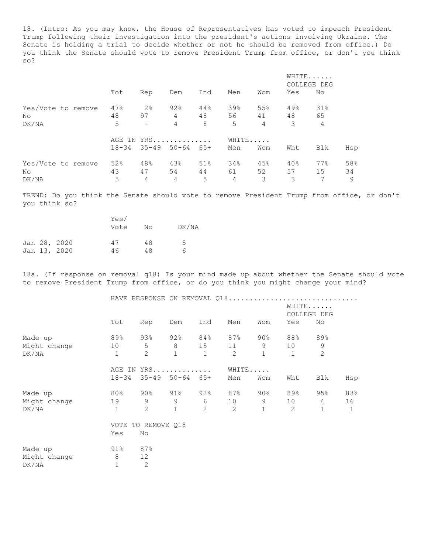18. (Intro: As you may know, the House of Representatives has voted to impeach President Trump following their investigation into the president's actions involving Ukraine. The Senate is holding a trial to decide whether or not he should be removed from office.) Do you think the Senate should vote to remove President Trump from office, or don't you think so?

|                    |  |     |                          |                               |     |       |                |       | WHITE<br>COLLEGE DEG |     |
|--------------------|--|-----|--------------------------|-------------------------------|-----|-------|----------------|-------|----------------------|-----|
|                    |  | Tot | Rep                      | Dem                           | Ind | Men   | Wom            | Yes   | No                   |     |
| Yes/Vote to remove |  | 47% | 2%                       | 92%                           | 44% | 39%   | 55%            | 49%   | 31%                  |     |
| No.                |  | 48  | 97                       | $\overline{4}$                | 48  | 56    |                | 41 48 | 65                   |     |
| DK/NA              |  | 5   | $\overline{\phantom{m}}$ | 4                             | 8   | 5     | $\overline{4}$ | 3     | 4                    |     |
|                    |  |     |                          | AGE IN YRS                    |     | WHITE |                |       |                      |     |
|                    |  |     |                          | $18-34$ $35-49$ $50-64$ $65+$ |     | Men   | Wom            | Wht   | Blk                  | Hsp |
| Yes/Vote to remove |  | 52% | 48%                      | 43%                           | 51% | 34%   | 45%            | 40%   | 77%                  | 58% |
| No.                |  | 43  | 47                       | 54                            | 44  | 61    | 52             | 57    | 15                   | 34  |
| DK/NA              |  | 5   | 4                        | 4                             | 5   | 4     | 3              | 3     |                      | 9   |

TREND: Do you think the Senate should vote to remove President Trump from office, or don't you think so?

|  |              | Yes/ |    |       |  |
|--|--------------|------|----|-------|--|
|  |              | Vote | Nο | DK/NA |  |
|  |              |      |    |       |  |
|  | Jan 28, 2020 | 47   | 48 | 5     |  |
|  | Jan 13, 2020 | 46   | 48 | h     |  |

18a. (If response on removal q18) Is your mind made up about whether the Senate should vote to remove President Trump from office, or do you think you might change your mind?

|              |              | HAVE RESPONSE ON REMOVAL Q18 |              |              |                |              |                 |                      |     |
|--------------|--------------|------------------------------|--------------|--------------|----------------|--------------|-----------------|----------------------|-----|
|              |              |                              |              |              |                |              |                 | WHITE<br>COLLEGE DEG |     |
|              | Tot          | Rep                          | Dem          | Ind          | Men            | Wom          | Yes             | No                   |     |
| Made up      | 89%          | 93%                          | 92% 84%      |              | 87%            |              | 90% 88%         | 89%                  |     |
| Might change | 10           | 5                            | 8            | 15           | 11             | 9            | 10 <sup>°</sup> | 9                    |     |
| DK/NA        | $\mathbf{1}$ | 2                            | $\mathbf{1}$ | $\mathbf{1}$ | $\overline{2}$ | $\mathbf{1}$ | $\overline{1}$  | $\overline{2}$       |     |
|              |              | AGE IN YRS                   |              |              | WHITE          |              |                 |                      |     |
|              | 18-34        | $35 - 49$ $50 - 64$ $65 +$   |              |              | Men            | Wom          | Wht             | Blk                  | Hsp |
| Made up      | $80\%$       | 90% 91% 92%                  |              |              | 87%            | 90%          | 89%             | 95%                  | 83% |
| Might change | 19           | 9                            | 9            | $6 \qquad$   | 10             | 9            | 10              | $4\overline{ }$      | 16  |
| DK/NA        | $\mathbf{1}$ | 2                            | $\mathbf{1}$ | 2            | 2              | $\mathbf{1}$ | 2               | $\mathbf{1}$         | 1   |
|              |              | VOTE TO REMOVE 018           |              |              |                |              |                 |                      |     |
|              | Yes          | No                           |              |              |                |              |                 |                      |     |
| Made up      | 91%          | 87%                          |              |              |                |              |                 |                      |     |
| Might change | 8            | 12                           |              |              |                |              |                 |                      |     |
| DK/NA        | $1\,$        | $\overline{c}$               |              |              |                |              |                 |                      |     |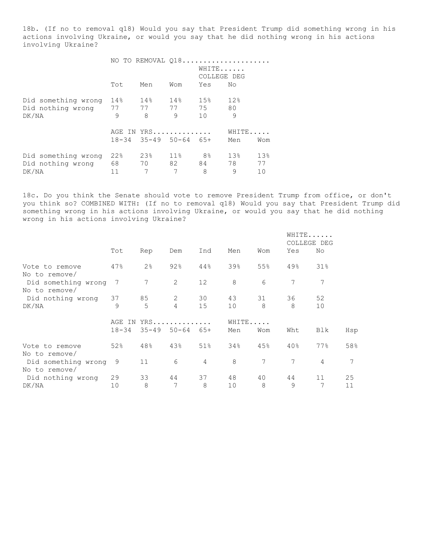18b. (If no to removal q18) Would you say that President Trump did something wrong in his actions involving Ukraine, or would you say that he did nothing wrong in his actions involving Ukraine?

|                                                         | NO TO REMOVAL 018 |                                                    |                         | WHITE<br>COLLEGE DEG |                |                 |
|---------------------------------------------------------|-------------------|----------------------------------------------------|-------------------------|----------------------|----------------|-----------------|
|                                                         | Tot               | Men                                                | Wom                     | Yes                  | No             |                 |
| Did something wrong<br>Did nothing wrong 77 77<br>DK/NA | 14%<br>9          | 14%<br>8                                           | 14%<br>77 75<br>$\circ$ | 15%<br>10            | 12%<br>80<br>9 |                 |
|                                                         |                   | AGE IN YRS<br>$18 - 34$ $35 - 49$ $50 - 64$ $65 +$ |                         |                      | WHITE<br>Men   | Wom             |
| Did something wrong<br>Did nothing wrong<br>DK/NA       | 22%<br>68<br>11   | 23%<br>70<br>7                                     | $11\%$<br>82<br>7       | 8%<br>84<br>8        | 13%<br>78<br>9 | 13%<br>77<br>10 |

18c. Do you think the Senate should vote to remove President Trump from office, or don't you think so? COMBINED WITH: (If no to removal q18) Would you say that President Trump did something wrong in his actions involving Ukraine, or would you say that he did nothing wrong in his actions involving Ukraine?

|                                                       |                     |                |                    |                |              |                 | WHITE<br>COLLEGE DEG |                |     |
|-------------------------------------------------------|---------------------|----------------|--------------------|----------------|--------------|-----------------|----------------------|----------------|-----|
|                                                       | Tot                 | Rep            | Dem                | Ind            | Men          | Wom             | Yes                  | No             |     |
| Vote to remove                                        | 47%                 | 2 <sup>°</sup> | 92%                | 44%            | 39%          | 55%             | 49%                  | 31%            |     |
| No to remove/<br>Did something wrong<br>No to remove/ | 7                   | 7              | 2                  | 12             | 8            | 6               | 7                    | 7              |     |
| Did nothing wrong 37                                  |                     | 85             | 2                  | 30             | 43           | 31              | 36                   | 52             |     |
| DK/NA                                                 | 9                   | 5              | 4                  | 15             | 10           | 8               | 8                    | 10             |     |
|                                                       | AGE IN<br>$18 - 34$ | $35 - 49$      | $YRS$<br>$50 - 64$ | $65+$          | WHITE<br>Men | Wom             | Wht                  | Blk            | Hsp |
| Vote to remove<br>No to remove/                       | 52%                 | 48%            | 43%                | 51%            | 34%          | 45%             | 40%                  | 77%            | 58% |
| Did something wrong<br>No to remove/                  | 9                   | 11             | 6                  | $\overline{4}$ | 8            | $7\phantom{.0}$ | 7                    | $\overline{4}$ | 7   |
| Did nothing wrong                                     | 29                  | 33             | 44                 | 37             | 48           | 40              | 44                   | 11             | 25  |
| DK/NA                                                 | 10                  | 8              | 7                  | 8              | 10           | 8               | 9                    | 7              | 11  |
|                                                       |                     |                |                    |                |              |                 |                      |                |     |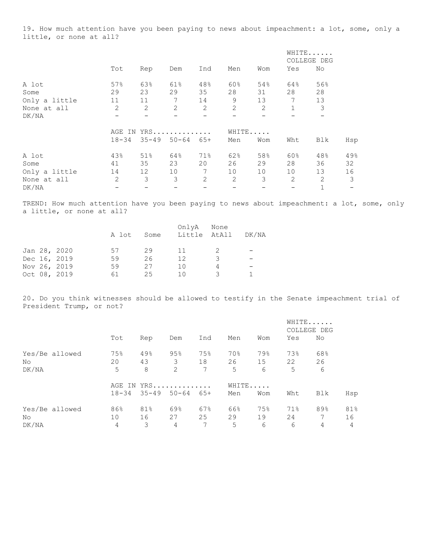19. How much attention have you been paying to news about impeachment: a lot, some, only a little, or none at all?

|               |                |       |            |                |                |     |     | WHITE<br>COLLEGE DEG |     |
|---------------|----------------|-------|------------|----------------|----------------|-----|-----|----------------------|-----|
|               | Tot            | Rep   | Dem        | Ind            | Men            | Wom | Yes | No                   |     |
| A lot         | 57%            | 63%   | 61%        | 48%            | 60%            | 54% | 64% | 56%                  |     |
| Some          | 29             | 23    | 29         | 35             | 28             | 31  | 28  | 28                   |     |
| Only a little | 11             | 11    | 7          | 14             | 9              | 13  | 7   | 13                   |     |
| None at all   | 2              | 2     | 2          | 2              | $\overline{2}$ | 2   | 1   | 3                    |     |
| DK/NA         |                |       |            |                |                |     |     |                      |     |
|               |                |       | AGE IN YRS |                | WHITE          |     |     |                      |     |
|               | $18 - 34$      | 35-49 | $50 - 64$  | $65+$          | Men            | Wom | Wht | Blk                  | Hsp |
| A lot         | 43%            | 51%   | 64%        | 71%            | 62%            | 58% | 60% | 48%                  | 49% |
| Some          | 41             | 35    | 23         | 20             | 26             | 29  | 28  | 36                   | 32  |
| Only a little | 14             | 12    | 10         | 7              | 10             | 10  | 10  | 13                   | 16  |
| None at all   | $\overline{2}$ | 3     | 3          | $\overline{2}$ | $\overline{2}$ | 3   | 2   | 2                    | 3   |
| DK/NA         |                |       |            |                |                |     |     |                      |     |

TREND: How much attention have you been paying to news about impeachment: a lot, some, only a little, or none at all?

|  |              | A lot | Some | OnlyA<br>Little AtAll | None | DK/NA |
|--|--------------|-------|------|-----------------------|------|-------|
|  | Jan 28, 2020 | 57    | 29   | -11                   |      |       |
|  | Dec 16, 2019 | 59    | 26   | 12                    |      |       |
|  | Nov 26, 2019 | 59    | 27   | 1 O                   |      |       |
|  | Oct 08, 2019 | 61    | 25   | 1 N                   | -2   |       |

20. Do you think witnesses should be allowed to testify in the Senate impeachment trial of President Trump, or not?

|       |                |                |     |                               |     |       |     |       | WHITE<br>COLLEGE DEG |     |  |
|-------|----------------|----------------|-----|-------------------------------|-----|-------|-----|-------|----------------------|-----|--|
|       |                | Tot            | Rep | Dem                           | Ind | Men   | Wom | Yes   | No                   |     |  |
|       | Yes/Be allowed | 75%            | 49% | 95%                           | 75% | 70%   | 79% | 73%   | 68%                  |     |  |
| No.   |                | 20             | 43  | $3^{\circ}$                   | 18  | 26    |     | 15 22 | 26                   |     |  |
| DK/NA |                | 5              | 8   | $\overline{2}$                | 7   | 5     | 6   | 5     | 6                    |     |  |
|       |                |                |     | AGE IN YRS                    |     | WHITE |     |       |                      |     |  |
|       |                |                |     | $18-34$ $35-49$ $50-64$ $65+$ |     | Men   | Wom | Wht   | Blk                  | Hsp |  |
|       | Yes/Be allowed | 86%            | 81% | 69%                           | 67% | 66%   | 75% | 71%   | 89%                  | 81% |  |
| No.   |                | 10             | 16  | 27                            | 25  | 29    | 19  | 24    | 7                    | 16  |  |
| DK/NA |                | $\overline{4}$ | 3   | $\overline{4}$                | 7   | 5     | 6   | 6     | 4                    | 4   |  |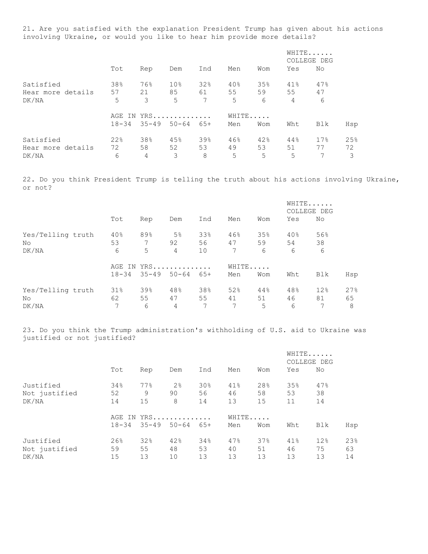21. Are you satisfied with the explanation President Trump has given about his actions involving Ukraine, or would you like to hear him provide more details?

|                   |                     |     |                     |       |     |     |     | WHITE<br>COLLEGE DEG |     |  |
|-------------------|---------------------|-----|---------------------|-------|-----|-----|-----|----------------------|-----|--|
|                   | Tot                 | Rep | Dem                 | Ind   | Men | Wom | Yes | No                   |     |  |
| Satisfied         | 38%                 | 76% | 10%                 | 32%   | 40% | 35% | 41% | 47%                  |     |  |
| Hear more details | 57                  | 21  | 85                  | 61    | 55  | 59  | 55  | 47                   |     |  |
| DK/NA             | 5                   | 3   | 5                   | 7     | 5   | 6   | 4   | 6                    |     |  |
|                   | WHITE<br>AGE IN YRS |     |                     |       |     |     |     |                      |     |  |
|                   | $18 - 34$           |     | $35 - 49$ $50 - 64$ | $65+$ | Men | Wom | Wht | Blk                  | Hsp |  |
| Satisfied         | 22%                 | 38% | 45%                 | 39%   | 46% | 42% | 44% | 17%                  | 25% |  |
| Hear more details | 72                  | 58  | 52                  | 53    | 49  | 53  | 51  | 77                   | 72  |  |
| DK/NA             | 6                   | 4   | 3                   | 8     | 5   | 5   | 5   |                      | 3   |  |

22. Do you think President Trump is telling the truth about his actions involving Ukraine, or not?

|                   |           |                 |                |       |       |     | WHITE<br>COLLEGE DEG |     |     |
|-------------------|-----------|-----------------|----------------|-------|-------|-----|----------------------|-----|-----|
|                   | Tot       | Rep             | Dem            | Ind   | Men   | Wom | Yes                  | No  |     |
| Yes/Telling truth | 40%       | 89%             | 5 <sup>°</sup> | 33%   | 46%   | 35% | 40%                  | 56% |     |
| No                | 53        | 7               | 92             | 56    | 47    | 59  | 54                   | 38  |     |
| DK/NA             | 6         | 5               | 4              | 10    | 7     | 6   | 6                    | 6   |     |
|                   |           | AGE IN YRS      |                |       | WHITE |     |                      |     |     |
|                   | $18 - 34$ | $35 - 49$ 50-64 |                | $65+$ | Men   | Wom | Wht                  | Blk | Hsp |
| Yes/Telling truth | 31%       | 39%             | 48%            | 38%   | 52%   | 44% | 48%                  | 12% | 27% |
| No.               | 62        | 55              | 47             | 55    | 41    | 51  | 46                   | 81  | 65  |
| DK/NA             | 7         | 6               | $\overline{4}$ |       | 7     | 5   | 6                    |     | 8   |

23. Do you think the Trump administration's withholding of U.S. aid to Ukraine was justified or not justified?

|                                     |                 |                 |                               |                             |                 |                 | WHITE<br>COLLEGE DEG |                 |                 |
|-------------------------------------|-----------------|-----------------|-------------------------------|-----------------------------|-----------------|-----------------|----------------------|-----------------|-----------------|
|                                     | Tot             | Rep             | Dem                           | Ind                         | Men             | Wom             | Yes                  | No              |                 |
| Justified<br>Not justified<br>DK/NA | 34%<br>52<br>14 | 77%<br>9<br>15  | 2 <sup>°</sup><br>90<br>8     | 30 <sub>8</sub><br>56<br>14 | 41%<br>46<br>13 | 28%<br>58<br>15 | 35%<br>53<br>11      | 47%<br>38<br>14 |                 |
|                                     | $18 - 34$       |                 | AGE IN YRS<br>$35 - 49$ 50-64 | 65+                         | WHITE<br>Men    | Wom             | Wht                  | Blk             | Hsp             |
| Justified<br>Not justified<br>DK/NA | 26%<br>59<br>15 | 32%<br>55<br>13 | 42%<br>48<br>10               | 34%<br>53<br>13             | 47%<br>40<br>13 | 37%<br>51<br>13 | 41%<br>46<br>13      | 12%<br>75<br>13 | 23%<br>63<br>14 |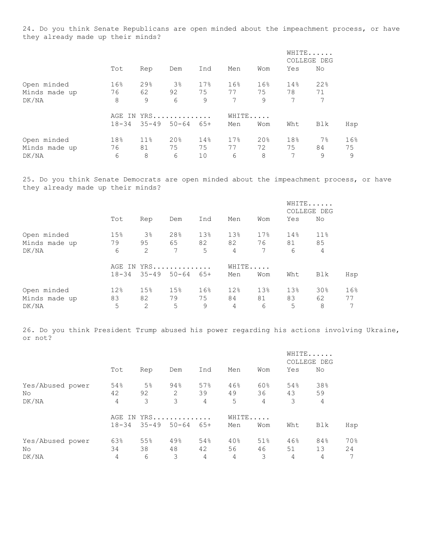24. Do you think Senate Republicans are open minded about the impeachment process, or have they already made up their minds?

|               |           |           |                |       |     |       | WHITE<br>COLLEGE DEG |       |     |
|---------------|-----------|-----------|----------------|-------|-----|-------|----------------------|-------|-----|
|               | Tot       | Rep       | Dem            | Ind   | Men | Wom   | Yes                  | No    |     |
| Open minded   | 16%       | 29%       | 3 <sup>°</sup> | 17%   | 16% | 16%   | 14%                  | 22%   |     |
| Minds made up | 76        | 62        | 92             | 75    | 77  | 75    | 78                   | 71    |     |
| DK/NA         | 8         | 9         | 6              | 9     | 7   | 9     | 7                    | 7     |     |
|               |           |           | AGE IN YRS     |       |     | WHITE |                      |       |     |
|               | $18 - 34$ | $35 - 49$ | $50 - 64$      | $65+$ | Men | Wom   | Wht                  | Blk   | Hsp |
| Open minded   | 18%       | 11%       | 20%            | 14%   | 17% | 20%   | 18%                  | $7\%$ | 16% |
| Minds made up | 76        | 81        | 75             | 75    | 77  | 72    | 75                   | 84    | 75  |
| DK/NA         | 6         | 8         | 6              | 10    | 6   | 8     | 7                    | 9     | 9   |

25. Do you think Senate Democrats are open minded about the impeachment process, or have they already made up their minds?

|               |           |       |                 |       |                |       | WHITE<br>COLLEGE DEG |                |     |
|---------------|-----------|-------|-----------------|-------|----------------|-------|----------------------|----------------|-----|
|               | Tot       | Rep   | Dem             | Ind   | Men            | Wom   | Yes                  | No             |     |
| Open minded   | 15%       | $3\%$ | 28%             | 13%   | 13%            | 17.8  | 14%                  | 11%            |     |
| Minds made up | 79        | 95    | 65              | 82    | 82             | 76    | 81                   | 85             |     |
| DK/NA         | 6         | 2     | 7               | 5     | $\overline{4}$ | 7     | 6                    | $\overline{4}$ |     |
|               |           |       | AGE IN YRS      |       |                | WHITE |                      |                |     |
|               | $18 - 34$ |       | $35 - 49$ 50-64 | $65+$ | Men            | Wom   | Wht                  | Blk            | Hsp |
| Open minded   | 12%       | 15%   | 15%             | 16%   | 12%            | 13%   | 13%                  | 30%            | 16% |
| Minds made up | 83        | 82    | 79              | 75    | 84             | 81    | 83                   | 62             | 77  |
| DK/NA         | 5         | 2     | 5               | 9     | 4              | 6     | 5                    | 8              | 7   |

26. Do you think President Trump abused his power regarding his actions involving Ukraine, or not?

|                                 |                        |                           |                          |                |                |                             | WHITE<br>COLLEGE DEG        |                |                |
|---------------------------------|------------------------|---------------------------|--------------------------|----------------|----------------|-----------------------------|-----------------------------|----------------|----------------|
|                                 | Tot                    | Rep                       | Dem                      | Ind            | Men            | Wom                         | Yes                         | No             |                |
| Yes/Abused power<br>No<br>DK/NA | 54%<br>42<br>4         | 5 <sup>°</sup><br>92<br>3 | 94%<br>2<br>3            | 57%<br>39<br>4 | 46%<br>49<br>5 | 60%<br>36<br>$\overline{4}$ | 54%<br>43<br>3              | 38%<br>59<br>4 |                |
|                                 | AGE<br>ΙN<br>$18 - 34$ |                           | $YRS$<br>$35 - 49$ 50-64 | $65+$          | WHITE<br>Men   | Wom                         | Wht                         | Blk            | Hsp            |
| Yes/Abused power<br>No<br>DK/NA | 63%<br>34<br>4         | 55%<br>38<br>6            | 49%<br>48<br>3           | 54%<br>42<br>4 | 40%<br>56<br>4 | 51%<br>46<br>3              | 46%<br>51<br>$\overline{4}$ | 84%<br>13<br>4 | 70%<br>24<br>7 |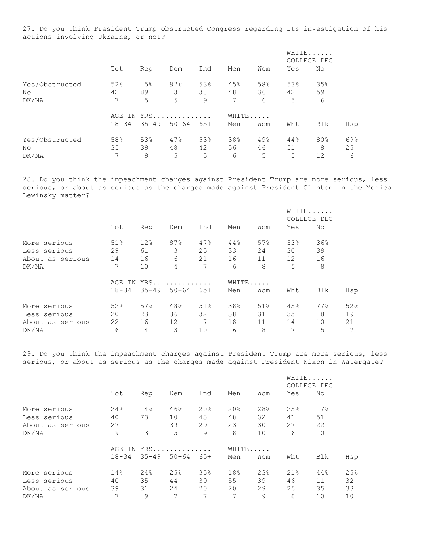27. Do you think President Trump obstructed Congress regarding its investigation of his actions involving Ukraine, or not?

|                |           |                |                 |       |       |     | WHITE<br>COLLEGE DEG |     |     |
|----------------|-----------|----------------|-----------------|-------|-------|-----|----------------------|-----|-----|
|                | Tot       | Rep            | Dem             | Ind   | Men   | Wom | Yes                  | No  |     |
| Yes/Obstructed | 52%       | 5 <sup>°</sup> | 92%             | 53%   | 45%   | 58% | 53%                  | 35% |     |
| No             | 42        | 89             | 3               | 38    | 48    | 36  | 42                   | 59  |     |
| DK/NA          | 7         | 5              | 5               | 9     | 7     | 6   | 5                    | 6   |     |
|                | AGE<br>IN |                | $YRS$           |       | WHITE |     |                      |     |     |
|                | $18 - 34$ |                | $35 - 49$ 50-64 | $65+$ | Men   | Wom | Wht                  | Blk | Hsp |
| Yes/Obstructed | 58%       | 53%            | 47%             | 53%   | 38%   | 49% | 44%                  | 80% | 69% |
| No             | 35        | 39             | 48              | 42    | 56    | 46  | 51                   | 8   | 25  |
| DK/NA          | 7         | 9              | 5               | 5     | 6     | 5   | 5                    | 12  | 6   |

28. Do you think the impeachment charges against President Trump are more serious, less serious, or about as serious as the charges made against President Clinton in the Monica Lewinsky matter?

|                  |           |     |                 |     |       |     | WHITE<br>COLLEGE DEG |     |     |
|------------------|-----------|-----|-----------------|-----|-------|-----|----------------------|-----|-----|
|                  | Tot       | Rep | Dem             | Ind | Men   | Wom | Yes                  | No  |     |
| More serious     | 51%       | 12% | 87%             | 47% | 44%   | 57% | 53%                  | 36% |     |
| Less serious     | 29        | 61  | 3               | 25  | 33    | 24  | 30                   | 39  |     |
| About as serious | 14        | 16  | 6               | 21  | 16    | 11  | 12                   | 16  |     |
| DK/NA            | 7         | 10  | 4               | 7   | 6     | 8   | 5                    | 8   |     |
|                  | AGE IN    |     | $YRS$           |     | WHITE |     |                      |     |     |
|                  | $18 - 34$ |     | $35 - 49$ 50-64 | 65+ | Men   | Wom | Wht                  | Blk | Hsp |
| More serious     | 52%       | 57% | 48%             | 51% | 38%   | 51% | 45%                  | 77% | 52% |
| Less serious     | 20        | 23  | 36              | 32  | 38    | 31  | 35                   | 8   | 19  |
| About as serious | 22        | 16  | 12              | 7   | 18    | 11  | 14                   | 10  | 21  |
| DK/NA            | 6         | 4   | 3               | 10  | 6     | 8   | 7                    | 5   | 7   |

29. Do you think the impeachment charges against President Trump are more serious, less serious, or about as serious as the charges made against President Nixon in Watergate?

|                  |           |           |           |     |     |       | WHITE<br>COLLEGE DEG |     |     |
|------------------|-----------|-----------|-----------|-----|-----|-------|----------------------|-----|-----|
|                  | Tot       | Rep       | Dem       | Ind | Men | Wom   | Yes                  | No  |     |
| More serious     | 24%       | 4%        | 46%       | 20% | 20% | 28%   | 25%                  | 17% |     |
| Less serious     | 40        | 73        | 10        | 43  | 48  | 32    | 41                   | 51  |     |
| About as serious | 27        | 11        | 39        | 29  | 23  | 30    | 27                   | 22  |     |
| DK/NA            | 9         | 13        | 5         | 9   | 8   | 10    | 6                    | 10  |     |
|                  | AGE<br>ΙN |           | $YRS$     |     |     | WHITE |                      |     |     |
|                  | $18 - 34$ | $35 - 49$ | $50 - 64$ | 65+ | Men | Wom   | Wht                  | Blk | Hsp |
| More serious     | 14%       | 24%       | 25%       | 35% | 18% | 23%   | 21%                  | 44% | 25% |
| Less serious     | 40        | 35        | 44        | 39  | 55  | 39    | 46                   | 11  | 32  |
| About as serious | 39        | 31        | 24        | 20  | 20  | 29    | 25                   | 35  | 33  |
| DK/NA            | 7         | 9         | 7         |     | 7   | 9     | 8                    | 10  | 10  |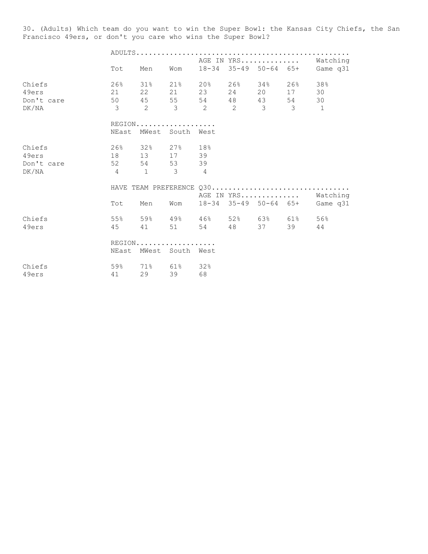30. (Adults) Which team do you want to win the Super Bowl: the Kansas City Chiefs, the San Francisco 49ers, or don't you care who wins the Super Bowl?

|            |                          |                        |     |    |                                                           | AGE IN YRS Watching |            |                                |
|------------|--------------------------|------------------------|-----|----|-----------------------------------------------------------|---------------------|------------|--------------------------------|
|            | Tot                      | Men                    | Wom |    |                                                           |                     |            | 18-34 35-49 50-64 65+ Game q31 |
| Chiefs     |                          |                        |     |    | 26% 31% 21% 20% 26% 34%                                   |                     | $26\%$ 38% |                                |
| 49ers      |                          |                        |     |    | 21  22  21  23  24  20                                    |                     | 17 30      |                                |
| Don't care |                          |                        |     |    | 50 45 55 54 48 43                                         |                     | 54 30      |                                |
| DK/NA      |                          |                        |     |    | $3 \qquad 2 \qquad 3 \qquad 2 \qquad 2 \qquad 3 \qquad 3$ |                     |            | $\overline{1}$                 |
|            |                          | $REGION$               |     |    |                                                           |                     |            |                                |
|            |                          | NEast MWest South West |     |    |                                                           |                     |            |                                |
| Chiefs     |                          | 26% 32% 27% 18%        |     |    |                                                           |                     |            |                                |
| 49ers      |                          | 18 13 17               |     | 39 |                                                           |                     |            |                                |
| Don't care |                          | 52 54 53               |     | 39 |                                                           |                     |            |                                |
| DK/NA      | 4 1 3 4                  |                        |     |    |                                                           |                     |            |                                |
|            | HAVE TEAM PREFERENCE Q30 |                        |     |    |                                                           |                     |            |                                |
|            |                          |                        |     |    |                                                           |                     |            | AGE IN YRS Watching            |
|            | Tot                      | Men                    | Wom |    |                                                           |                     |            | 18-34 35-49 50-64 65+ Game q31 |
| Chiefs     |                          |                        |     |    | 55% 59% 49% 46% 52% 63% 61% 56%                           |                     |            |                                |
| 49ers      |                          | 45 41 51               |     |    | 54 48 37                                                  |                     | 39         | 44                             |
|            |                          | REGION                 |     |    |                                                           |                     |            |                                |
|            |                          | NEast MWest South West |     |    |                                                           |                     |            |                                |
| Chiefs     |                          | 59% 71% 61% 32%        |     |    |                                                           |                     |            |                                |
| 49ers      |                          | 41 29 39               |     | 68 |                                                           |                     |            |                                |